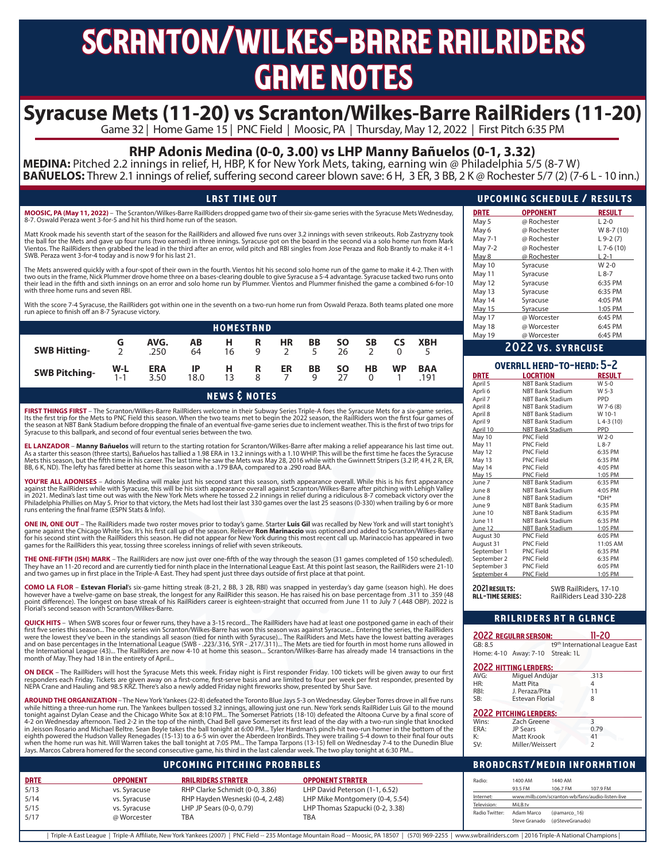## scranton/wilkes-barre railriders **GRME NOTES**

## Syracuse Mets (11-20) vs Scranton/Wilkes-Barre RailRiders (11-20)<br>Game 32 | Home Game 15 | PNC Field | Moosic, PA | Thursday, May 12, 2022 | First Pitch 6:35 PM

### **RHP Adonis Medina (0-0, 3.00) vs LHP Manny Bañuelos (0-1, 3.32)**

**MEDINA:** Pitched 2.2 innings in relief, H, HBP, K for New York Mets, taking, earning win @ Philadelphia 5/5 (8-7 W) **BAÑUELOS:** Threw 2.1 innings of relief, suffering second career blown save: 6 H, 3 ER, 3 BB, 2 K @ Rochester 5/7 (2) (7-6 L - 10 inn.)

| <b>LAST TIME OUT</b>                                                                                                                                                                                                      |  |
|---------------------------------------------------------------------------------------------------------------------------------------------------------------------------------------------------------------------------|--|
| MOOSIC, PA (May 11, 2022) – The Scranton/Wilkes-Barre RailRiders dropped game two of their six-game series with the Syracuse Mets Wednesday,<br>8-7. Oswald Peraza went 3-for-5 and hit his third home run of the season. |  |

Matt Krook made his seventh start of the season for the RailRiders and allowed five runs over 3.2 innings with seven strikeouts. Rob Zastryzny took the ball for the Mets and gave up four runs (two earned) in three innings. Syracuse got on the board in the second via a solo home run from Mark Vientos. The RailRiders then grabbed the lead in the third after an error, wild pitch and RBI singles from Jose Peraza and Rob Brantly to make it 4-1<br>SWB. Peraza went 3-for-4 today and is now 9 for his last 21.

The Mets answered quickly with a four-spot of their own in the fourth. Vientos hit his second solo home run of the game to make it 4-2. Then with two outs in the frame, Nick Plummer drove home three on a bases-clearing double to give Syracuse a 5-4 advantage. Syracuse tacked two runs onto<br>their lead in the fifth and sixth innings on an error and solo home run by Plu with three home runs and seven RBI.

With the score 7-4 Syracuse, the RailRiders got within one in the seventh on a two-run home run from Oswald Peraza. Both teams plated one more run apiece to finish off an 8-7 Syracuse victory.

|                      |              |                    |                   | <b>HOMESTRND</b> |        |           |              |                 |    |           |                    |  |
|----------------------|--------------|--------------------|-------------------|------------------|--------|-----------|--------------|-----------------|----|-----------|--------------------|--|
| <b>SWB Hitting-</b>  |              | AVG.<br>.250       | AВ<br>64          | н<br>16          | R<br>Q | <b>HR</b> | BB<br>$\sim$ | SΟ<br>26        | SΒ | <b>CS</b> | <b>XBH</b>         |  |
| <b>SWB Pitching-</b> | $W-L$<br>1-1 | <b>ERA</b><br>3.50 | <b>IP</b><br>18.0 | Н.<br>13         | R<br>8 | ER        | BB           | <b>SO</b><br>27 | НB | <b>WP</b> | <b>BAA</b><br>.191 |  |

news & notes

**FIRST THINGS FIRST** – The Scranton/Wilkes-Barre RailRiders welcome in their Subway Series Triple-A foes the Syracuse Mets for a six-game series. Its the first trip for the Mets to PNC Field this season. When the two teams met to begin the 2022 season, the RailRiders won the first four games of<br>the season at NBT Bank Stadium before dropping the finale of an eventual Syracuse to this ballpark, and second of four eventual series between the two.

**EL LANZADOR** – **Manny Bañuelos** will return to the starting rotation for Scranton/Wilkes-Barre after making a relief appearance his last time out. As a starter this season (three starts), Bañuelos has tallied a 1.98 ERA in 13.2 innings with a 1.10 WHIP. This will be the first time he faces the Syracuse Mets this season, but the fifth time in his career. The last time he saw the Mets was May 28, 2016 while with the Gwinnett Stripers (3.2 IP, 4 H, 2 R, ER,<br>BB, 6 K, ND). The lefty has fared better at home this season with a

**YOU'RE ALL ADONISES** – Adonis Medina will make just his second start this season, sixth appearance overall. While this is his first appearance<br>against the RailRiders while with Syracuse, this will be his sixth appearance in 2021. Medina's last time out was with the New York Mets where he tossed 2.2 innings in relief during a ridiculous 8-7 comeback victory over the<br>Philadelphia Phillies on May 5. Prior to that victory, the Mets had lost th runs entering the final frame (ESPN Stats & Info).

**ONE IN, ONE OUT** – The RailRiders made two roster moves prior to today's game. Starter **Luis Gil** was recalled by New York and will start tonight's<br>game against the Chicago White Sox. It's his first call up of the season. games for the RailRiders this year, tossing three scoreless innings of relief with seven strikeouts.

**THE ONE-FIFTH (ISH) MARK** – The RailRiders are now just over one-fifth of the way through the season (31 games completed of 150 scheduled). They have an 11-20 record and are currently tied for ninth place in the International League East. At this point last season, the RailRiders were 21-10<br>and two games up in first place in the Triple-A East. They had spent j

**COMO LA FLOR – Estevan Florial'**s six-game hitting streak (8-21, 2 BB, 3 2B, RBI) was snapped in yesterday's day game (season high). He does<br>however have a twelve-game on base streak, the longest for any RailRider this se point difference). The longest on base streak of his RailRiders career is eighteen-straight that occurred from June 11 to July 7 (.448 OBP). 2022 is Florial's second season with Scranton/Wilkes-Barre.

**QUICK HITS** – When SWB scores four or fewer runs, they have a 3-15 record... The RailRiders have had at least one postponed game in each of their first five series this season… The only series win Scranton/Wilkes-Barre has won this season was against Syracuse… Entering the series, the RailRiders<br>were the lowest they've been in the standings all season (tied for nint month of May. They had 18 in the entirety of April...

**ON DECK** – The RailRiders will host the Syracuse Mets this week. Friday night is First responder Friday. 100 tickets will be given away to our first<br>responders each Friday. Tickets are given away on a first-come, first-se

**AROUND THE ORGANIZATION** – The New York Yankees (22-8) defeated the Toronto Blue Jays 5-3 on Wednesday. Gleyber Torres drove in all five runs while hitting a three-run home run. The Yankees bullpen tossed 3.2 innings, allowing just one run. New York sends RailRider Luis Gil to the mound<br>tonight against Dylan Cease and the Chicago White Sox at 8:10 PM… The Somers eighth powered the Hudson Valley Renegades (15-13) to a 6-5 win over the Aberdeen IronBirds. They were trailing 5-4 down to their final four outs<br>when the home run was hit. Will Warren takes the ball tonight at 7:05 PM... Jays. Marcos Cabrera homered for the second consecutive game, his third in the last calendar week. The two play tonight at 6:30 PM...

#### upcoming pitching probables

| <b>DRTE</b> | <b>OPPONENT</b> | <b>RAILRIDERS STARTER</b>       | <b>OPPONENT STRRTER</b>         |
|-------------|-----------------|---------------------------------|---------------------------------|
| 5/13        | vs. Syracuse    | RHP Clarke Schmidt (0-0, 3.86)  | LHP David Peterson (1-1, 6.52)  |
| 5/14        | vs. Syracuse    | RHP Hayden Wesneski (0-4, 2.48) | LHP Mike Montgomery (0-4, 5.54) |
| 5/15        | vs. Syracuse    | LHP JP Sears (0-0, 0.79)        | LHP Thomas Szapucki (0-2, 3.38) |
| 5/17        | @ Worcester     | TBA                             | TBA                             |

|               | <b>UPCOMING SCHEDULE / RESULTS</b> |               |
|---------------|------------------------------------|---------------|
| <b>DRTE</b>   | <b>OPPONENT</b>                    | <b>RESULT</b> |
| May 5         | @ Rochester                        | $L$ 2-0       |
| May 6         | @ Rochester                        | W 8-7 (10)    |
| May 7-1       | @ Rochester                        | $L9-2(7)$     |
| May 7-2       | @ Rochester                        | $L$ 7-6 (10)  |
| May 8         | @ Rochester                        | L 2-1         |
| May 10        | Syracuse                           | $W 2-0$       |
| May 11        | Syracuse                           | $L8-7$        |
| May 12        | Syracuse                           | 6:35 PM       |
| May 13        | Syracuse                           | 6:35 PM       |
| May 14        | Syracuse                           | 4:05 PM       |
| <b>May 15</b> | Syracuse                           | 1:05 PM       |
| May 17        | @ Worcester                        | 6:45 PM       |
| May 18        | @ Worcester                        | 6:45 PM       |
| May 19        | @ Worcester                        | 6:45 PM       |

#### 2022 vs. syracuse

|             | OVERALL HEAD-TO-HEAD: 5-2 |               |
|-------------|---------------------------|---------------|
| <b>DRTE</b> | <b>LOCRTION</b>           | <b>RESULT</b> |
| April 5     | <b>NBT Bank Stadium</b>   | $W$ 5-0       |
| Aprli 6     | <b>NBT Bank Stadium</b>   | $W5-3$        |
| April 7     | <b>NBT Bank Stadium</b>   | <b>PPD</b>    |
| April 8     | <b>NBT Bank Stadium</b>   | W 7-6 (8)     |
| April 8     | <b>NBT Bank Stadium</b>   | W 10-1        |
| April 9     | <b>NBT Bank Stadium</b>   | $L$ 4-3 (10)  |
| April 10    | <b>NBT Bank Stadium</b>   | PPD           |
| May 10      | <b>PNC Field</b>          | $W 2-0$       |
| May 11      | <b>PNC Field</b>          | $L8-7$        |
| May 12      | <b>PNC Field</b>          | 6:35 PM       |
| May 13      | <b>PNC Field</b>          | 6:35 PM       |
| May 14      | <b>PNC Field</b>          | 4:05 PM       |
| May 15      | <b>PNC Field</b>          | 1:05 PM       |
| June 7      | <b>NBT Bank Stadium</b>   | 6:35 PM       |
| June 8      | <b>NBT Bank Stadium</b>   | 4:05 PM       |
| June 8      | <b>NBT Bank Stadium</b>   | *DH*          |
| lune 9      | <b>NBT Bank Stadium</b>   | 6:35 PM       |
| June 10     | <b>NBT Bank Stadium</b>   | 6:35 PM       |
| June 11     | <b>NBT Bank Stadium</b>   | 6:35 PM       |
| June 12     | <b>NBT Bank Stadium</b>   | 1:05 PM       |
| August 30   | <b>PNC Field</b>          | 6:05 PM       |
| August 31   | <b>PNC Field</b>          | 11:05 AM      |
| September 1 | <b>PNC Field</b>          | 6:35 PM       |
| September 2 | <b>PNC Field</b>          | 6:35 PM       |
| September 3 | <b>PNC Field</b>          | 6:05 PM       |
| September 4 | <b>PNC Field</b>          | 1:05 PM       |

**2021 RESULTS:** SWB RailRiders, 17-10<br>**BLL-TIME SERIES:** RailRiders Lead 330-22 all-time series**:** RailRiders Lead 330-228

#### railriders at a glance

|         | 2022 REGULAR SEASON:             | 11-20                                      |
|---------|----------------------------------|--------------------------------------------|
| GB: 8.5 |                                  | t9 <sup>th</sup> International League East |
|         | Home: 4-10 Away: 7-10 Streak: 1L |                                            |
|         | 2022 HITTING LEADERS:            |                                            |
| AVG:    | Miguel Andújar                   | .313                                       |
| HR:     | Matt Pita                        | 4                                          |
| RBI:    | J. Peraza/Pita                   | 11                                         |
| SB:     | <b>Estevan Florial</b>           | 8                                          |
|         | 2022 PITCHING LEADERS:           |                                            |

| Wins: | Zach Greene     |      |  |
|-------|-----------------|------|--|
| ERA:  | <b>JP Sears</b> | 0.79 |  |
| K:    | Matt Krook      | 41   |  |
| SV:   | Miller/Weissert |      |  |
|       |                 |      |  |

#### **BROADCAST/MEDIA INFORMATION**

| Radio:         | 1400 AM       | 1440 AM         |                                                 |
|----------------|---------------|-----------------|-------------------------------------------------|
|                | 93.5 FM       | 106.7 FM        | 107.9 FM                                        |
| Internet:      |               |                 | www.milb.com/scranton-wb/fans/audio-listen-live |
| Television:    | MiLB.tv       |                 |                                                 |
| Radio Twitter: | Adam Marco    | (@amarco 16)    |                                                 |
|                | Steve Granado | (@SteveGranado) |                                                 |
|                |               |                 |                                                 |

| Triple-A East League | Triple-A Affiliate, New York Yankees (2007) | PNC Field -- 235 Montage Mountain Road -- Moosic, PA 18507 | (570) 969-2255 | www.swbrailriders.com | 2016 Triple-A National Champions |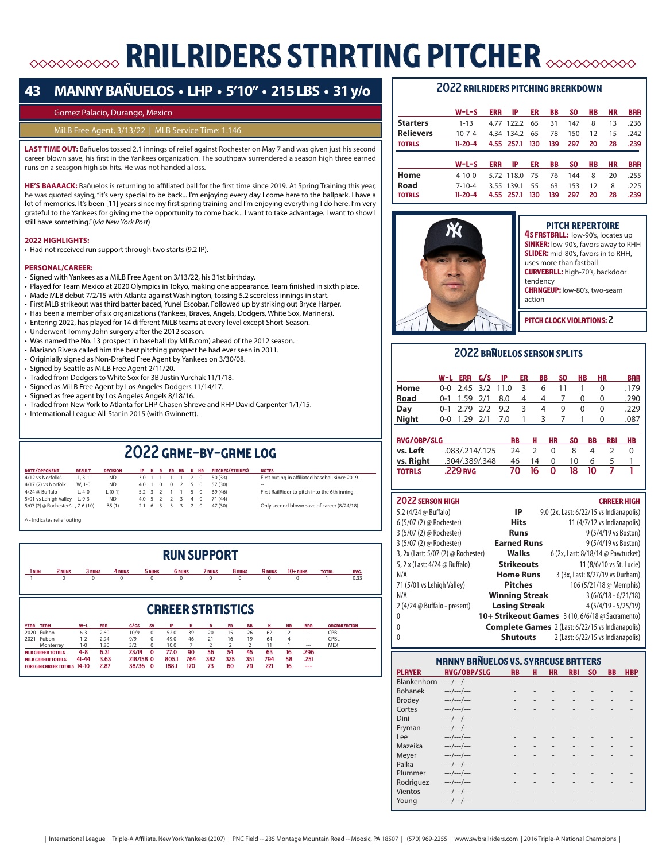## **ERRILRIDERS STARTING PITCHER AND SON STARTING PITCHER**

## **43 MANNY BAÑUELOS • LHP • 5'10" • 215 LBS • 31 y/o**

#### Gomez Palacio, Durango, Mexico

#### MiLB Free Agent, 3/13/22 | MLB Service Time: 1.146

**LAST TIME OUT:** Bañuelos tossed 2.1 innings of relief against Rochester on May 7 and was given just his second career blown save, his first in the Yankees organization. The southpaw surrendered a season high three earned runs on a seasgon high six hits. He was not handed a loss.

**HE'S BAAAACK:** Bañuelos is returning to affiliated ball for the first time since 2019. At Spring Training this year, he was quoted saying, "it's very special to be back... I'm enjoying every day I come here to the ballpark. I have a lot of memories. It's been [11] years since my first spring training and I'm enjoying everything I do here. I'm very grateful to the Yankees for giving me the opportunity to come back... I want to take advantage. I want to show I still have something." (*via New York Post*)

#### **2022 HIGHLIGHTS:**

• Had not received run support through two starts (9.2 IP).

#### **PERSONAL/CAREER:**

- Signed with Yankees as a MiLB Free Agent on 3/13/22, his 31st birthday.
- Played for Team Mexico at 2020 Olympics in Tokyo, making one appearance. Team finished in sixth place.
- Made MLB debut 7/2/15 with Atlanta against Washington, tossing 5.2 scoreless innings in start.
- First MLB strikeout was third batter baced, Yunel Escobar. Followed up by striking out Bryce Harper.
- Has been a member of six organizations (Yankees, Braves, Angels, Dodgers, White Sox, Mariners).
- Entering 2022, has played for 14 different MiLB teams at every level except Short-Season.
- Underwent Tommy John surgery after the 2012 season.
- Was named the No. 13 prospect in baseball (by MLB.com) ahead of the 2012 season.
- Mariano Rivera called him the best pitching prospect he had ever seen in 2011.
- Originially signed as Non-Drafted Free Agent by Yankees on 3/30/08.
- Signed by Seattle as MiLB Free Agent 2/11/20.
- Traded from Dodgers to White Sox for 3B Justin Yurchak 11/1/18.
- Signed as MiLB Free Agent by Los Angeles Dodgers 11/14/17.
- Signed as free agent by Los Angeles Angels 8/18/16.
- Traded from New York to Atlanta for LHP Chasen Shreve and RHP David Carpenter 1/1/15.
- International League All-Star in 2015 (with Gwinnett).

## 2022 game-by-game log

| DRTE/OPPONENT                     | <b>RESULT</b> | <b>DECISION</b> |                 |  |                 | IP H R ER BB K HR | <b>PITCHES (STRIKES)</b> | <b>NOTES</b>                                    |
|-----------------------------------|---------------|-----------------|-----------------|--|-----------------|-------------------|--------------------------|-------------------------------------------------|
| 4/12 vs Norfolk^                  | $L.3-1$       | ND.             |                 |  | 3.0 1 1 1 1 2 0 |                   | 50 (33)                  | First outing in affiliated baseball since 2019. |
| 4/17 (2) vs Norfolk               | W. 1-0        | ND.             |                 |  | 4.0 1 0 0 2 5 0 |                   | 57 (30)                  |                                                 |
| 4/24 @ Buffalo                    | $L.4-0$       | $L (0-1)$       | 5.2 3 2 1 1 5 0 |  |                 |                   | 69(46)                   | First RailRider to pitch into the 6th inning.   |
| 5/01 vs Lehigh Valley L, 9-3      |               | ND.             | 4.0 5 2 2 3 4 0 |  |                 |                   | 71(44)                   | --                                              |
| 5/07 (2) @ Rochester^ L, 7-6 (10) |               | <b>BS</b> (1)   | 2.1 6 3 3 3 2 0 |  |                 |                   | 47 (30)                  | Only second blown save of career (8/24/18)      |
|                                   |               |                 |                 |  |                 |                   |                          |                                                 |

|  | ^ - Indicates relief outing |  |  |
|--|-----------------------------|--|--|
|--|-----------------------------|--|--|

|                            |           |           |            |             |           |               |                | <b>RUN SUPPORT</b>            |     |                |        |                |                          |                     |      |
|----------------------------|-----------|-----------|------------|-------------|-----------|---------------|----------------|-------------------------------|-----|----------------|--------|----------------|--------------------------|---------------------|------|
| 1 RUN                      | 2 RUNS    | 3 RUNS    |            | 4 RUNS      | 5 RUNS    | <b>6 RUNS</b> |                | <b>7 RUNS</b>                 |     | 8 RUNS         | 9 RUNS |                | $10+$ RUNS               | <b>TOTRL</b>        | RVG. |
|                            | $\Omega$  | $\Omega$  |            | $\mathbf 0$ | 0         | 0             |                | $\mathbf 0$                   |     | 0              | 0      |                | 0                        |                     | 0.33 |
| <b>TERM</b><br><b>YERR</b> |           | W-L       | <b>ERR</b> | G/GS        | <b>SV</b> | IP            | н              | <b>CRREER STRTISTICS</b><br>R | ER  | <b>BB</b>      | к      | <b>HR</b>      | <b>BRR</b>               | <b>ORGANIZATION</b> |      |
| Fubon<br>2020              |           | $6 - 3$   | 2.60       | 10/9        | $\Omega$  | 52.0          | 39             | 20                            | 15  | 26             | 62     | $\mathcal{P}$  | $\hspace{0.05cm} \cdots$ | CPBI                |      |
| Fubon<br>2021              |           | $1 - 2$   | 2.94       | 9/9         | 0         | 49.0          | 46             | 21                            | 16  | 19             | 64     | $\overline{a}$ | $\sim$                   | CPBI                |      |
|                            | Monterrey | $1 - 0$   | 1.80       | 3/2         | 0         | 10.0          | $\overline{7}$ | 2                             | 2   | $\overline{2}$ | 11     |                | $-$                      | <b>MEX</b>          |      |
|                            |           |           |            |             | $\Omega$  | 77.0          | 90             | 56                            | 54  | 45             | 63     | 16             | .296                     |                     |      |
| <b>MLB CRREER TOTRLS</b>   |           | $4 - 8$   | 6.31       | 23/14       |           |               |                |                               |     |                |        |                |                          |                     |      |
| <b>MILB CRREER TOTRLS</b>  |           | $41 - 44$ | 3.63       | 218/158 0   |           | 805.1         | 764            | 382                           | 325 | 351            | 794    | 58             | .251                     |                     |      |

#### 2022 RAILRIDERS PITCHING BREAKDOWN

|                  | $W-L-S$       | <b>ERR</b> | IP         | ER  | BB  | SO. | HВ | HR | <b>BRR</b> |
|------------------|---------------|------------|------------|-----|-----|-----|----|----|------------|
| <b>Starters</b>  | $1 - 13$      | 4.77       | 122.2      | 65  | 31  | 147 | 8  | 13 | .236       |
| <b>Relievers</b> | $10 - 7 - 4$  |            | 4.34 134.2 | 65  | 78  | 150 | 12 | 15 | .242       |
| <b>TOTRLS</b>    | $11 - 20 - 4$ |            | 4.55 257.1 | 130 | 139 | 297 | 20 | 28 | .239       |
|                  |               |            |            |     |     |     |    |    |            |
|                  |               |            |            |     |     |     |    |    |            |
|                  | $W-L-S$       | <b>ERR</b> | IP         | ER  | BB  | SO. | HВ | НR | <b>BRR</b> |
| Home             | $4 - 10 - 0$  |            | 5.72 118.0 | -75 | 76  | 144 | 8  | 20 | .255       |
| Road             | $7 - 10 - 4$  |            | 3.55 139.1 | 55  | 63  | 153 | 12 | 8  | .225       |



#### pitch repertoire 4S FRSTBRLL: low-90's, locates up **SINKER:** low-90's, favors away to RHH SLIDER: mid-80's, favors in to RHH, uses more than fastball curveball: high-70's, backdoor tendency **CHRNGEUP:** low-80's, two-seam action

pitch clock violations: 2

#### 2022 banuelos season splits

|              |                      | W-L ERR G/S IP           | <b>ER</b> | BB          | <b>SO</b>  | HВ | <b>HR</b> | <b>BRR</b> |
|--------------|----------------------|--------------------------|-----------|-------------|------------|----|-----------|------------|
| Home         |                      | $0-0$ 2.45 3/2 11.0 3    |           | 6           | 11         |    |           | .179       |
| Road         |                      | 0-1 1.59 2/1 8.0 4 4 7 0 |           |             |            |    | $\Omega$  | .290       |
| Day          |                      | $0-1$ 2.79 2/2 9.2 3     |           | 4           | 9          |    |           | .229       |
| <b>Night</b> | $0-0$ 1.29 $2/1$ 7.0 |                          |           | $1 \quad 3$ | $\sqrt{2}$ |    |           | .087       |
|              |                      |                          |           |             |            |    |           |            |

| <b>RVG/OBP/SLG</b> |                     | RB.     |         | H HR     | -SO       | BB | RBI HB |  |
|--------------------|---------------------|---------|---------|----------|-----------|----|--------|--|
|                    | $\sqrt{83/214/125}$ | 24 2    |         | $\Omega$ | 8         |    |        |  |
| vs. Right          | .304/.389/.348      | 46 14 0 |         |          | 10 6      |    |        |  |
| <b>TOTRLS</b>      | .229 nvg            |         | 70 16 0 |          | - 18 - 10 |    |        |  |

| 2022 SERSON HIGH                   |                       | <b>CRREER HIGH</b>                                      |
|------------------------------------|-----------------------|---------------------------------------------------------|
| 5.2 (4/24 @ Buffalo)               | IP                    | 9.0 (2x, Last: 6/22/15 vs Indianapolis)                 |
| 6 (5/07 (2) @ Rochester)           | <b>Hits</b>           | 11 (4/7/12 vs Indianapolis)                             |
| 3 (5/07 (2) @ Rochester)           | <b>Runs</b>           | 9 (5/4/19 vs Boston)                                    |
| 3 (5/07 (2) @ Rochester)           | <b>Earned Runs</b>    | 9 (5/4/19 vs Boston)                                    |
| 3, 2x (Last: 5/07 (2) @ Rochester) | Walks                 | 6 (2x, Last: 8/18/14 @ Pawtucket)                       |
| 5, 2 x (Last: 4/24 @ Buffalo)      | <b>Strikeouts</b>     | 11 (8/6/10 vs St. Lucie)                                |
| N/A                                | <b>Home Runs</b>      | 3 (3x, Last: 8/27/19 vs Durham)                         |
| 71 (5/01 vs Lehigh Valley)         | <b>Pitches</b>        | 106 (5/21/18 @ Memphis)                                 |
| N/A                                | <b>Winning Streak</b> | $3(6/6/18 - 6/21/18)$                                   |
| $2(4/24 \omega$ Buffalo - present) | <b>Losing Streak</b>  | $4(5/4/19 - 5/25/19)$                                   |
| 0                                  |                       | 10+ Strikeout Games 3 (10, 6/6/18 @ Sacramento)         |
| 0                                  |                       | <b>Complete Games</b> 2 (Last: 6/22/15 vs Indianapolis) |

|                 | <b>Complete Games</b> 2 (Last: 6/22/15 vs Indianapolis |
|-----------------|--------------------------------------------------------|
| <b>Shutouts</b> | 2 (Last: 6/22/15 vs Indianapolis)                      |

|                | <b>MANNY BANUELOS VS. SYRACUSE BATTERS</b> |           |   |                |            |           |           |            |
|----------------|--------------------------------------------|-----------|---|----------------|------------|-----------|-----------|------------|
| <b>PLAYER</b>  | <b>RVG/OBP/SLG</b>                         | <b>RB</b> | н | <b>HR</b>      | <b>RBI</b> | <b>SO</b> | <b>BB</b> | <b>HBP</b> |
| Blankenhorn    | $---/---/---$                              |           |   |                |            |           |           |            |
| <b>Bohanek</b> | $---/---/---$                              |           |   |                |            |           |           |            |
| <b>Brodey</b>  | ---/---/---                                |           |   |                |            |           |           |            |
| Cortes         | $---/---/---$                              |           |   |                |            |           |           |            |
| Dini           | $---/---/---$                              |           |   |                |            |           |           |            |
| Fryman         | $---/---/---$                              |           |   | $\overline{a}$ |            |           |           |            |
| Lee            | $---/---/---$                              |           |   |                |            |           |           |            |
| Mazeika        | $---/---/---$                              |           |   |                |            |           |           |            |
| Meyer          | $---/---/---$                              |           |   |                |            |           |           |            |
| Palka          | $---/---/---$                              |           |   |                |            |           |           |            |
| Plummer        | $---/---/---$                              |           |   |                |            |           |           |            |
| Rodriguez      | $---/---/---$                              |           |   |                |            |           |           |            |
| Vientos        | $---/---/---$                              |           |   |                |            |           |           |            |
| Youna          | $---/---/---$                              |           |   |                |            |           |           |            |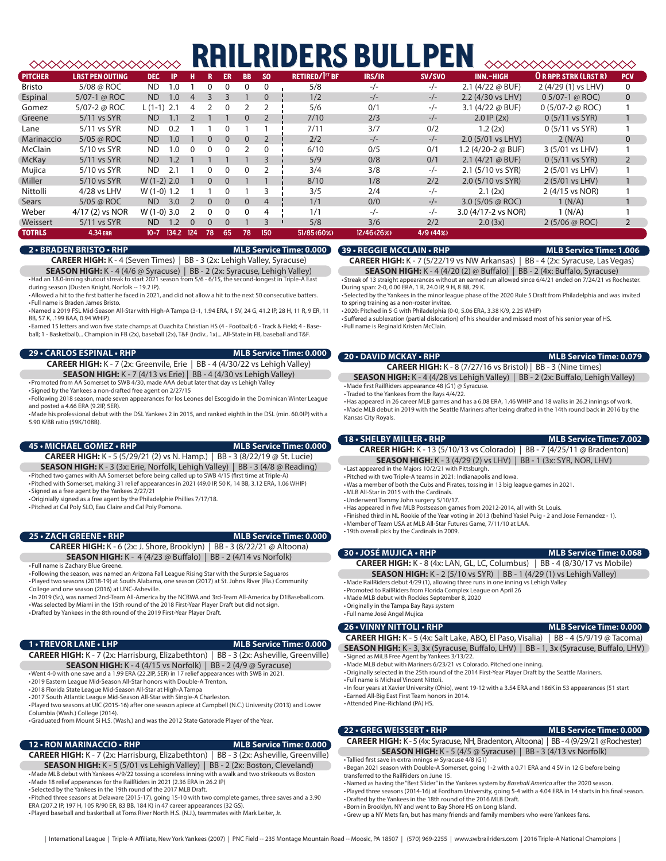## **RAILRIDERS BULLPEN**

|                |                        |                |       |          |          |           |           |           | RIDERS                           |             | I PFI    |                         | ≫≫≫≫≫≫≫≫≫≫                   |                |
|----------------|------------------------|----------------|-------|----------|----------|-----------|-----------|-----------|----------------------------------|-------------|----------|-------------------------|------------------------------|----------------|
| <b>PITCHER</b> | <b>LRST PEN OUTING</b> | <b>DEC</b>     | ΙP    | н        |          | <b>ER</b> | <b>BB</b> | <b>SO</b> | <b>RETIRED/I<sup>ST</sup> BF</b> | IRS/IR      | SV/SVO   | INN.-HIGH               | <b>OR RPP. STRK (LAST R)</b> | <b>PCV</b>     |
| Bristo         | 5/08 @ ROC             | <b>ND</b>      | 1.0   |          |          | 0         |           | 0         | 5/8                              | $-/-$       | $-/-$    | 2.1 $(4/22 \omega$ BUF) | 2 (4/29 (1) vs LHV)          | 0              |
| Espinal        | 5/07-1 @ ROC           | <b>ND</b>      | 1.0   | $\Delta$ |          |           |           | $\Omega$  | 1/2                              | $-/-$       | $-/-$    | 2.2 (4/30 vs LHV)       | $0.5/07-1$ @ ROC)            | $\mathbf{0}$   |
| Gomez          | 5/07-2 @ ROC           | L (1-1)        | 2.1   |          |          | 0         |           |           | 5/6                              | 0/1         | $-/-$    | 3.1 $(4/22 \omega$ BUF) | $0(5/07-2 \omega$ ROC)       |                |
| Greene         | $5/11$ vs SYR          | <b>ND</b>      |       |          |          |           |           |           | 7/10                             | 2/3         | $-/-$    | $2.0$ IP $(2x)$         | $0(5/11 \text{ vs } SYR)$    |                |
| Lane           | 5/11 vs SYR            | ND.            | 0.2   |          |          |           |           |           | 7/11                             | 3/7         | 0/2      | 1.2(2x)                 | $0(5/11 \text{ vs } SYR)$    |                |
| Marinaccio     | 5/05 @ ROC             | <b>ND</b>      | 1.0   |          | $\Omega$ | $\Omega$  | $\Omega$  |           | 2/2                              | $-/-$       | $-/-$    | 2.0 (5/01 vs LHV)       | 2 (N/A)                      | $\mathbf{0}$   |
| <b>McClain</b> | 5/10 vs SYR            | <b>ND</b>      | 1.0   | $\Omega$ |          | $\Omega$  |           |           | 6/10                             | 0/5         | 0/1      | 1.2 (4/20-2 @ BUF)      | 3 (5/01 vs LHV)              |                |
| <b>McKay</b>   | 5/11 vs SYR            | <b>ND</b>      | 1.2   |          |          |           |           |           | 5/9                              | 0/8         | 0/1      | $2.1$ (4/21 @ BUF)      | $0(5/11 \text{ vs } SYR)$    | $\overline{2}$ |
| Mujica         | 5/10 vs SYR            | <b>ND</b>      | 2.1   |          |          |           |           |           | 3/4                              | 3/8         | $-/-$    | 2.1 (5/10 vs SYR)       | 2 (5/01 vs LHV)              |                |
| Miller         | 5/10 vs SYR            | $W(1-2)$ 2.0   |       |          | $\Omega$ | $\Omega$  |           |           | 8/10                             | 1/8         | 2/2      | 2.0 (5/10 vs SYR)       | 2 (5/01 vs LHV)              |                |
| Nittolli       | 4/28 vs LHV            | $W(1-0)$ 1.2   |       |          |          |           |           |           | 3/5                              | 2/4         | $-/-$    | 2.1(2x)                 | 2 (4/15 vs NOR)              |                |
| Sears          | 5/05 @ ROC             | N <sub>D</sub> | 3.0   |          | $\Omega$ | $\Omega$  | $\Omega$  | 4         | 1/1                              | 0/0         | $-/-$    | 3.0 (5/05 $\omega$ ROC) | 1(N/A)                       |                |
| Weber          | 4/17 (2) vs NOR        | $W(1-0)$ 3.0   |       |          | $\Omega$ | 0         |           | 4         | 1/1                              | $-/-$       | $-/-$    | 3.0 (4/17-2 vs NOR)     | 1 (N/A)                      |                |
| Weissert       | 5/11 vs SYR            | ND.            | 1.2   | $\Omega$ | $\Omega$ | $\Omega$  |           |           | 5/8                              | 3/6         | 2/2      | 2.0(3x)                 | 2(5/06 @ ROC)                | $\overline{2}$ |
| <b>TOTRLS</b>  | <b>4.34 ERR</b>        | $10 - 7$       | 134.2 | 124      | 78       | 65        | 78        | 150       | 51/85 (60%)                      | 12/46 (26%) | 4/9(44%) |                         |                              |                |

#### **2 • BRADEN BRISTO • RHP MLB Service Time: 0.000**

**CAREER HIGH:** K - 4 (Seven Times) | BB - 3 (2x: Lehigh Valley, Syracuse)

**SEASON HIGH:** K - 4 (4/6 @ Syracuse) | BB - 2 (2x: Syracuse, Lehigh Valley) •Had an 18.0-inning shutout streak to start 2021 season from 5/6 - 6/15, the second-longest in Triple-A East

during season (Dusten Knight, Norfolk -- 19.2 IP). •Allowed a hit to the first batter he faced in 2021, and did not allow a hit to the next 50 consecutive batters.

• Full name is Braden James Bristo. •Named a 2019 FSL Mid-Season All-Star with High-A Tampa (3-1, 1.94 ERA, 1 SV, 24 G, 41.2 IP, 28 H, 11 R, 9 ER, 11 BB, 57 K, .199 BAA, 0.94 WHIP).

• Earned 15 letters and won five state champs at Ouachita Christian HS (4 - Football; 6 - Track & Field; 4 - Baseball; 1 - Basketball)... Champion in FB (2x), baseball (2x), T&F (Indiv., 1x)... All-State in FB, baseball and T&F.

**29 • CARLOS ESPINAL • RHP MLB Service Time: 0.000 CAREER HIGH:** K - 7 (2x: Greenvile, Erie | BB - 4 (4/30/22 vs Lehigh Valley)

**SEASON HIGH:** K - 7 (4/13 vs Erie) | BB - 4 (4/30 vs Lehigh Valley) •Promoted from AA Somerset to SWB 4/30, made AAA debut later that day vs Lehigh Valley

• Signed by the Yankees a non-drafted free agent on 2/27/15

• Following 2018 season, made seven appearances for los Leones del Escogido in the Dominican Winter League and posted a 4.66 FRA (9.2IP, 5FR).

•Made his professional debut with the DSL Yankees 2 in 2015, and ranked eighth in the DSL (min. 60.0IP) with a 5.90 K/BB ratio (59K/10BB).

#### **45 • MICHAEL GOMEZ • RHP MLB Service Time: 0.000**

**CAREER HIGH:** K - 5 (5/29/21 (2) vs N. Hamp.) | BB - 3 (8/22/19 @ St. Lucie) **SEASON HIGH:** K - 3 (3x: Erie, Norfolk, Lehigh Valley) | BB - 3 (4/8 @ Reading) •Pitched two games with AA Somerset before being called up to SWB 4/15 (first time at Triple-A)

•Pitched with Somerset, making 31 relief appearances in 2021 (49.0 IP, 50 K, 14 BB, 3.12 ERA, 1.06 WHIP) • Signed as a free agent by the Yankees 2/27/21

•Originially signed as a free agent by the Philadelphie Phillies 7/17/18.

•Pitched at Cal Poly SLO, Eau Claire and Cal Poly Pomona.

#### **25 • ZACH GREENE • RHP MLB Service Time: 0.000**

**CAREER HIGH:** K - 6 (2x: J. Shore, Brooklyn) | BB - 3 (8/22/21 @ Altoona) **SEASON HIGH:** K - 4 (4/23 @ Buffalo) | BB - 2 (4/14 vs Norfolk)

• Full name is Zachary Blue Greene.

• Following the season, was named an Arizona Fall League Rising Star with the Surprsie Saguaros •Played two seasons (2018-19) at South Alabama, one season (2017) at St. Johns River (Fla.) Community College and one season (2016) at UNC-Asheville.

•In 2019 (Sr.), was named 2nd-Team All-America by the NCBWA and 3rd-Team All-America by D1Baseball.com. •Was selected by Miami in the 15th round of the 2018 First-Year Player Draft but did not sign. •Drafted by Yankees in the 8th round of the 2019 First-Year Player Draft.

#### **1 • TREVOR LANE • LHP MLB Service Time: 0.000**

**CAREER HIGH:** K - 7 (2x: Harrisburg, Elizabethton) | BB - 3 (2x: Asheville, Greenville) **SEASON HIGH:** K - 4 (4/15 vs Norfolk) | BB - 2 (4/9 @ Syracuse)

•Went 4-0 with one save and a 1.99 ERA (22.2IP, 5ER) in 17 relief appearances with SWB in 2021.

•2019 Eastern League Mid-Season All-Star honors with Double-A Trenton.

•2018 Florida State League Mid-Season All-Star at High-A Tampa

•2017 South Atlantic League Mid-Season All-Star with Single-A Charleston. •Played two seasons at UIC (2015-16) after one season apiece at Campbell (N.C.) University (2013) and Lower Columbia (Wash.) College (2014).

•Graduated from Mount Si H.S. (Wash.) and was the 2012 State Gatorade Player of the Year.

#### **12 • RON MARINACCIO • RHP MLB Service Time: 0.000**

**CAREER HIGH:** K - 7 (2x: Harrisburg, Elizabethton) | BB - 3 (2x: Asheville, Greenville) **SEASON HIGH:** K - 5 (5/01 vs Lehigh Valley) | BB - 2 (2x: Boston, Cleveland) •Made MLB debut with Yankees 4/9/22 tossing a scoreless inning with a walk and two strikeouts vs Boston •Made 18 relief apperances for the RailRiders in 2021 (2.36 ERA in 26.2 IP)

• Selected by the Yankees in the 19th round of the 2017 MLB Draft.

•Pitched three seasons at Delaware (2015-17), going 15-10 with two complete games, three saves and a 3.90 ERA (207.2 IP, 197 H, 105 R/90 ER, 83 BB, 184 K) in 47 career appearances (32 GS). •Played baseball and basketball at Toms River North H.S. (N.J.), teammates with Mark Leiter, Jr.

### **39 • REGGIE MCCLAIN • RHP MLB Service Time: 1.006**

**CAREER HIGH:** K - 7 (5/22/19 vs NW Arkansas) | BB - 4 (2x: Syracuse, Las Vegas) **SEASON HIGH:** K - 4 (4/20 (2) @ Buffalo) | BB - 2 (4x: Buffalo, Syracuse)

• Streak of 13 straight appearances without an earned run allowed since 6/4/21 ended on 7/24/21 vs Rochester. During span: 2-0, 0.00 ERA, 1 R, 24.0 IP, 9 H, 8 BB, 29 K.

• Selected by the Yankees in the minor league phase of the 2020 Rule 5 Draft from Philadelphia and was invited to spring training as a non-roster invitee.

•2020: Pitched in 5 G with Philadelphia (0-0, 5.06 ERA, 3.38 K/9, 2.25 WHIP)

• Suffered a sublexation (partial dislocation) of his shoulder and missed most of his senior year of HS. • Full name is Reginald Kristen McClain.

### **20 • DAVID MCKAY • RHP MLB Service Time: 0.079**

**CAREER HIGH:** K - 8 (7/27/16 vs Bristol) | BB - 3 (Nine times) **SEASON HIGH:** K - 4 (4/28 vs Lehigh Valley) | BB - 2 (2x: Buffalo, Lehigh Valley) •Made first RailRiders appearance 48 (G1) @ Syracuse.

• Traded to the Yankees from the Rays 4/4/22.

•Has appeared in 26 career MLB games and has a 6.08 ERA, 1.46 WHIP and 18 walks in 26.2 innings of work. •Made MLB debut in 2019 with the Seattle Mariners after being drafted in the 14th round back in 2016 by the Kansas City Royals.

#### **18 • SHELBY MILLER • RHP MLB Service Time: 7.002**

**CAREER HIGH:** K - 13 (5/10/13 vs Colorado) | BB - 7 (4/25/11 @ Bradenton) **SEASON HIGH:** K - 3 (4/29 (2) vs LHV) | BB - 1 (3x: SYR, NOR, LHV)

• Last appeared in the Majors 10/2/21 with Pittsburgh. •Pitched with two Triple-A teams in 2021: Indianapolis and Iowa.

•Was a member of both the Cubs and Pirates, tossing in 13 big league games in 2021.

- •MLB All-Star in 2015 with the Cardinals.
- •Underwent Tommy John surgery 5/10/17.

•Has appeared in five MLB Postseason games from 20212-2014, all with St. Louis.

• Finished third in NL Rookie of the Year voting in 2013 (behind Yasiel Puig - 2 and Jose Fernandez - 1).

•Member of Team USA at MLB All-Star Futures Game, 7/11/10 at LAA. •19th overall pick by the Cardinals in 2009.

#### **30 • JOSÉ MUJICA • RHP MLB Service Time: 0.068**

**CAREER HIGH:** K - 8 (4x: LAN, GL, LC, Columbus) | BB - 4 (8/30/17 vs Mobile) **SEASON HIGH:** K - 2 (5/10 vs SYR) | BB - 1 (4/29 (1) vs Lehigh Valley)

•Made RailRiders debut 4/29 (1), allowing three runs in one inning vs Lehigh Valley

•Promoted to RailRiders from Florida Complex League on April 26

•Made MLB debut with Rockies September 8, 2020

•Originally in the Tampa Bay Rays system

• Full name José Angel Mujica

#### **26 • VINNY NITTOLI • RHP MLB Service Time: 0.000**

**CAREER HIGH:** K - 5 (4x: Salt Lake, ABQ, El Paso, Visalia) | BB - 4 (5/9/19 @ Tacoma)

**SEASON HIGH:** K - 3, 3x (Syracuse, Buffalo, LHV) | BB - 1, 3x (Syracuse, Buffalo, LHV) • Signed as MiLB Free Agent by Yankees 3/13/22.

•Made MLB debut with Mariners 6/23/21 vs Colorado. Pitched one inning.

•Originally selected in the 25th round of the 2014 First-Year Player Draft by the Seattle Mariners. • Full name is Michael Vincent Nittoli.

•In four years at Xavier University (Ohio), went 19-12 with a 3.54 ERA and 186K in 53 appearances (51 start • Earned All-Big East First Team honors in 2014.

•Attended Pine-Richland (PA) HS.

#### **22 • GREG WEISSERT • RHP MLB Service Time: 0.000**

**CAREER HIGH:** K - 5 (4x: Syracuse, NH, Bradenton, Altoona) | BB - 4 (9/29/21 @Rochester) **SEASON HIGH:** K - 5 (4/5 @ Syracuse) | BB - 3 (4/13 vs Norfolk)

• Tallied first save in extra innings @ Syracuse 4/8 (G1) •Began 2021 season with Double-A Somerset, going 1-2 with a 0.71 ERA and 4 SV in 12 G before being transferred to the RailRiders on June 15.

•Named as having the "Best Slider" in the Yankees system by *Baseball America* after the 2020 season.

•Played three seasons (2014-16) at Fordham University, going 5-4 with a 4.04 ERA in 14 starts in his final season. •Drafted by the Yankees in the 18th round of the 2016 MLB Draft.

•Born in Brooklyn, NY and went to Bay Shore HS on Long Island.

•Grew up a NY Mets fan, but has many friends and family members who were Yankees fans.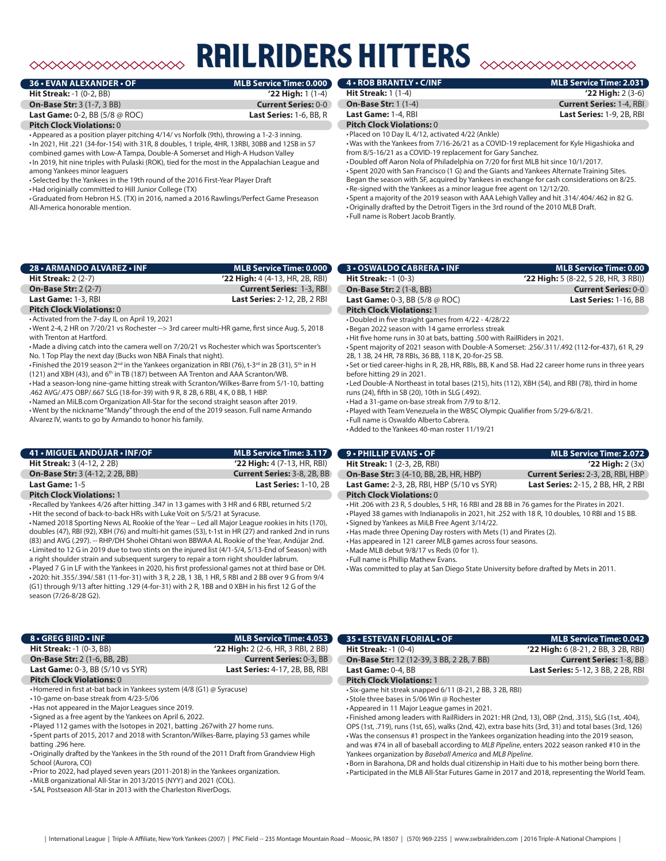### **RAILRIDERS HITTERS**  $\rightsquigarrow$

| 36 • EVAN ALEXANDER • OF                             | MLB Service Time: 0.000        |
|------------------------------------------------------|--------------------------------|
| <b>Hit Streak: -1 (0-2, BB)</b>                      | $'22$ High: 1 (1-4)            |
| <b>On-Base Str: 3 (1-7, 3 BB)</b>                    | <b>Current Series: 0-0</b>     |
| <b>Last Game:</b> 0-2, BB $(5/8 \oslash \text{ROC})$ | <b>Last Series: 1-6, BB, R</b> |
| <b>Pitch Clock Violations: 0</b>                     |                                |

•Appeared as a position player pitching 4/14/ vs Norfolk (9th), throwing a 1-2-3 inning. •In 2021, Hit .221 (34-for-154) with 31R, 8 doubles, 1 triple, 4HR, 13RBI, 30BB and 12SB in 57 combined games with Low-A Tampa, Double-A Somerset and High-A Hudson Valley •In 2019, hit nine triples with Pulaski (ROK), tied for the most in the Appalachian League and among Yankees minor leaguers

• Selected by the Yankees in the 19th round of the 2016 First-Year Player Draft

•Had originially committed to Hill Junior College (TX)

•Graduated from Hebron H.S. (TX) in 2016, named a 2016 Rawlings/Perfect Game Preseason All-America honorable mention.

| 28 • ARMANDO ALVAREZ • INF       | <b>MLB Service Time: 0.000</b>      |
|----------------------------------|-------------------------------------|
| Hit Streak: $2(2-7)$             | $'22$ High: 4 (4-13, HR, 2B, RBI)   |
| <b>On-Base Str: 2 (2-7)</b>      | <b>Current Series: 1-3, RBI</b>     |
| Last Game: 1-3, RBI              | <b>Last Series: 2-12, 2B, 2 RBI</b> |
| <b>Pitch Clock Violations: 0</b> |                                     |

#### •Activated from the 7-day IL on April 19, 2021

•Went 2-4, 2 HR on 7/20/21 vs Rochester --> 3rd career multi-HR game, first since Aug. 5, 2018 with Trenton at Hartford.

•Made a diving catch into the camera well on 7/20/21 vs Rochester which was Sportscenter's No. 1 Top Play the next day (Bucks won NBA Finals that night).

• Finished the 2019 season 2<sup>nd</sup> in the Yankees organization in RBI (76), t-3<sup>rd</sup> in 2B (31), 5<sup>th</sup> in H

(121) and XBH (43), and  $6<sup>th</sup>$  in TB (187) between AA Trenton and AAA Scranton/WB. •Had a season-long nine-game hitting streak with Scranton/Wilkes-Barre from 5/1-10, batting

.462 AVG/.475 OBP/.667 SLG (18-for-39) with 9 R, 8 2B, 6 RBI, 4 K, 0 BB, 1 HBP. •Named an MiLB.com Organization All-Star for the second straight season after 2019.

•Went by the nickname "Mandy" through the end of the 2019 season. Full name Armando Alvarez IV, wants to go by Armando to honor his family.

| 41 • MIGUEL ANDÚJAR • INF/OF           | <b>MLB Service Time: 3.117</b>     |
|----------------------------------------|------------------------------------|
| <b>Hit Streak: 3 (4-12, 2 2B)</b>      | $'22$ High: 4 (7-13, HR, RBI)      |
| <b>On-Base Str: 3 (4-12, 2 2B, BB)</b> | <b>Current Series: 3-8, 2B, BB</b> |
| Last Game: 1-5                         | <b>Last Series: 1-10, 2B</b>       |
| <b>Pitch Clock Violations: 1</b>       |                                    |

•Recalled by Yankees 4/26 after hitting .347 in 13 games with 3 HR and 6 RBI, returned 5/2 •Hit the second of back-to-back HRs with Luke Voit on 5/5/21 at Syracuse.

•Named 2018 Sporting News AL Rookie of the Year -- Led all Major League rookies in hits (170), doubles (47), RBI (92), XBH (76) and multi-hit games (53), t-1st in HR (27) and ranked 2nd in runs (83) and AVG (.297). -- RHP/DH Shohei Ohtani won BBWAA AL Rookie of the Year, Andújar 2nd. • Limited to 12 G in 2019 due to two stints on the injured list (4/1-5/4, 5/13-End of Season) with a right shoulder strain and subsequent surgery to repair a torn right shoulder labrum.

•Played 7 G in LF with the Yankees in 2020, his first professional games not at third base or DH. •2020: hit .355/.394/.581 (11-for-31) with 3 R, 2 2B, 1 3B, 1 HR, 5 RBI and 2 BB over 9 G from 9/4 (G1) through 9/13 after hitting .129 (4-for-31) with 2 R, 1BB and 0 XBH in his first 12 G of the season (7/26-8/28 G2).

### **8 • GREG BIRD • INF MLB Service Time: 4.053 Hit Streak:** -1 (0-3, BB) **'22 High:** 2 (2-6, HR, 3 RBI, 2 BB)

**On-Base Str: 2** (1-6, BB, 2B) **Current Series: 0-3, BB**<br> **Last Game: 0-3, BB** (5/10 vs SYR) **Last Series: 4-17, 2B**, BB, RBI **Last Game:** 0-3, BB (5/10 vs SYR)

#### **Pitch Clock Violations:** 0

•Homered in first at-bat back in Yankees system (4/8 (G1) @ Syracuse)

- •10-game on-base streak from 4/23-5/06
- •Has not appeared in the Major Leagues since 2019.

• Signed as a free agent by the Yankees on April 6, 2022.

•Played 112 games with the Isotopes in 2021, batting .267with 27 home runs.

• Spent parts of 2015, 2017 and 2018 with Scranton/Wilkes-Barre, playing 53 games while batting .296 here.

•Originally drafted by the Yankees in the 5th round of the 2011 Draft from Grandview High School (Aurora, CO)

•Prior to 2022, had played seven years (2011-2018) in the Yankees organization.

•MiLB organizational All-Star in 2013/2015 (NYY) and 2021 (COL).

• SAL Postseason All-Star in 2013 with the Charleston RiverDogs.

| <b>4 . ROB BRANTLY . C/INF</b>   | MLB Service Time: 2.031         |
|----------------------------------|---------------------------------|
| <b>Hit Streak:</b> $1(1-4)$      | $'22$ High: $2(3-6)$            |
| <b>On-Base Str: 1 (1-4)</b>      | <b>Current Series: 1-4, RBI</b> |
| Last Game: 1-4, RBI              | Last Series: 1-9, 2B, RBI       |
| <b>Pitch Clock Violations: 0</b> |                                 |

•Placed on 10 Day IL 4/12, activated 4/22 (Ankle)

•Was with the Yankees from 7/16-26/21 as a COVID-19 replacement for Kyle Higashioka and from 8/5-16/21 as a COVID-19 replacement for Gary Sanchez.

•Doubled off Aaron Nola of Philadelphia on 7/20 for first MLB hit since 10/1/2017. • Spent 2020 with San Francisco (1 G) and the Giants and Yankees Alternate Training Sites. Began the season with SF, acquired by Yankees in exchange for cash considerations on 8/25.

•Re-signed with the Yankees as a minor league free agent on 12/12/20. • Spent a majority of the 2019 season with AAA Lehigh Valley and hit .314/.404/.462 in 82 G. •Originally drafted by the Detroit Tigers in the 3rd round of the 2010 MLB Draft. • Full name is Robert Jacob Brantly.

| <b>3 • OSWALDO CABRERA • INF</b>                     | MLB Service Time: 0.00                 |
|------------------------------------------------------|----------------------------------------|
| <b>Hit Streak:</b> $-1$ (0-3)                        | $'22$ High: 5 (8-22, 5 2B, HR, 3 RBI)) |
| <b>On-Base Str: 2 (1-8, BB)</b>                      | <b>Current Series: 0-0</b>             |
| <b>Last Game:</b> 0-3, BB $(5/8 \oslash \text{ROC})$ | Last Series: 1-16, BB                  |
| <b>Pitch Clock Violations: 1</b>                     |                                        |
|                                                      |                                        |

•Doubled in five straight games from 4/22 - 4/28/22

•Began 2022 season with 14 game errorless streak

•Hit five home runs in 30 at bats, batting .500 with RailRiders in 2021. • Spent majority of 2021 season with Double-A Somerset: .256/.311/.492 (112-for-437), 61 R, 29 2B, 1 3B, 24 HR, 78 RBIs, 36 BB, 118 K, 20-for-25 SB.

• Set or tied career-highs in R, 2B, HR, RBIs, BB, K and SB. Had 22 career home runs in three years before hitting 29 in 2021.

• Led Double-A Northeast in total bases (215), hits (112), XBH (54), and RBI (78), third in home runs (24), fifth in SB (20), 10th in SLG (.492).

•Had a 31-game on-base streak from 7/9 to 8/12.

•Played with Team Venezuela in the WBSC Olympic Qualifier from 5/29-6/8/21.

• Full name is Oswaldo Alberto Cabrera.

•Added to the Yankees 40-man roster 11/19/21

| 9 • PHILLIP EVANS • OF                                                                      | MLB Service Time: 2.072                   |  |  |  |  |
|---------------------------------------------------------------------------------------------|-------------------------------------------|--|--|--|--|
| <b>Hit Streak:</b> 1 (2-3, 2B, RBI)                                                         | $'22$ High: $2(3x)$                       |  |  |  |  |
| <b>On-Base Str: 3 (4-10, BB, 2B, HR, HBP)</b>                                               | <b>Current Series: 2-3, 2B, RBI, HBP</b>  |  |  |  |  |
| <b>Last Game:</b> 2-3, 2B, RBI, HBP (5/10 vs SYR)                                           | <b>Last Series: 2-15, 2 BB, HR, 2 RBI</b> |  |  |  |  |
| <b>Pitch Clock Violations: 0</b>                                                            |                                           |  |  |  |  |
| -Hit .206 with 23 R, 5 doubles, 5 HR, 16 RBI and 28 BB in 76 games for the Pirates in 2021. |                                           |  |  |  |  |

•Played 38 games with Indianapolis in 2021, hit .252 with 18 R, 10 doubles, 10 RBI and 15 BB.

• Signed by Yankees as MiLB Free Agent 3/14/22.

•Has made three Opening Day rosters with Mets (1) and Pirates (2).

•Has appeared in 121 career MLB games across four seasons.

•Made MLB debut 9/8/17 vs Reds (0 for 1). • Full name is Phillip Mathew Evans.

•Was committed to play at San Diego State University before drafted by Mets in 2011.

| <b>35 • ESTEVAN FLORIAL • OF</b>                 | MLB Service Time: 0.042                   |
|--------------------------------------------------|-------------------------------------------|
| <b>Hit Streak:</b> $-1$ (0-4)                    | $'22$ High: 6 (8-21, 2 BB, 3 2B, RBI)     |
| <b>On-Base Str: 12 (12-39, 3 BB, 2 2B, 7 BB)</b> | <b>Current Series: 1-8, BB</b>            |
| Last Game: 0-4, BB                               | <b>Last Series:</b> 5-12, 3 BB, 2 2B, RBI |
| <b>Pitch Clock Violations: 1</b>                 |                                           |

• Six-game hit streak snapped 6/11 (8-21, 2 BB, 3 2B, RBI)

• Stole three bases in 5/06 Win @ Rochester

•Appeared in 11 Major League games in 2021.

• Finished among leaders with RailRiders in 2021: HR (2nd, 13), OBP (2nd, .315), SLG (1st, .404), OPS (1st, .719), runs (1st, 65), walks (2nd, 42), extra base hits (3rd, 31) and total bases (3rd, 126) •Was the consensus #1 prospect in the Yankees organization heading into the 2019 season, and was #74 in all of baseball according to *MLB Pipeline*, enters 2022 season ranked #10 in the Yankees organization by *Baseball America* and *MLB Pipeline*.

•Born in Barahona, DR and holds dual citizenship in Haiti due to his mother being born there. •Participated in the MLB All-Star Futures Game in 2017 and 2018, representing the World Team.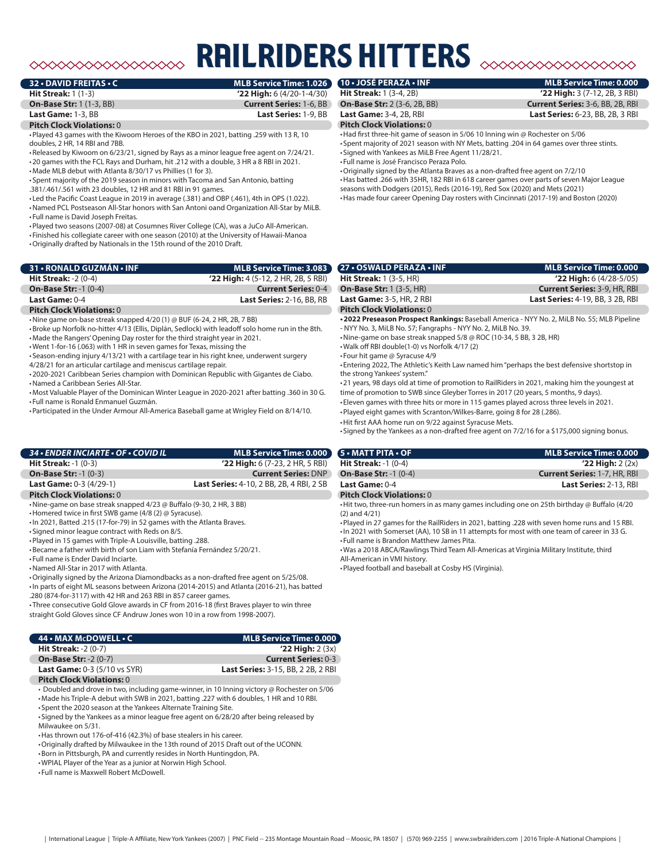### ◇◇◇◇◇◇◇◇◇◇◇◇◇◇◇◇

# **ILRIDERS HITTERS**

**32 • DAVID FREITAS • C MLB Service Time: 1.026**

**Hit Streak:** 1 (1-3) **'22 High:** 6 (4/20-1-4/30) **On-Base Str:** 1 (1-3, BB) **Current Series:** 1-6, BB

#### **Last Game:** 1-3, BB **Last Series:** 1-9, BB

**Pitch Clock Violations:** 0

•Played 43 games with the Kiwoom Heroes of the KBO in 2021, batting .259 with 13 R, 10 doubles, 2 HR, 14 RBI and 7BB.

•Released by Kiwoom on 6/23/21, signed by Rays as a minor league free agent on 7/24/21. •20 games with the FCL Rays and Durham, hit .212 with a double, 3 HR a 8 RBI in 2021.

•Made MLB debut with Atlanta 8/30/17 vs Phillies (1 for 3). • Spent majority of the 2019 season in minors with Tacoma and San Antonio, batting

.381/.461/.561 with 23 doubles, 12 HR and 81 RBI in 91 games.

• Led the Pacific Coast League in 2019 in average (.381) and OBP (.461), 4th in OPS (1.022).

•Named PCL Postseason All-Star honors with San Antoni oand Organization All-Star by MiLB. • Full name is David Joseph Freitas.

•Played two seasons (2007-08) at Cosumnes River College (CA), was a JuCo All-American.

• Finished his collegiate career with one season (2010) at the University of Hawaii-Manoa

•Originally drafted by Nationals in the 15th round of the 2010 Draft.

| 31 • RONALD GUZMÁN • INF                  | MLB Service Time: 3.083 \             |
|-------------------------------------------|---------------------------------------|
| <b>Hit Streak: -2 <math>(0-4)</math></b>  | $'22$ High: 4 (5-12, 2 HR, 2B, 5 RBI) |
| <b>On-Base Str: -1 <math>(0-4)</math></b> | <b>Current Series: 0-4</b>            |
| Last Game: $0-4$                          | <b>Last Series: 2-16, BB, RB</b>      |
|                                           |                                       |

#### **Pitch Clock Violations:** 0

•Nine game on-base streak snapped 4/20 (1) @ BUF (6-24, 2 HR, 2B, 7 BB)

•Broke up Norfolk no-hitter 4/13 (Ellis, Diplán, Sedlock) with leadoff solo home run in the 8th.

•Made the Rangers' Opening Day roster for the third straight year in 2021.

•Went 1-for-16 (.063) with 1 HR in seven games for Texas, missing the • Season-ending injury 4/13/21 with a cartilage tear in his right knee, underwent surgery

4/28/21 for an articular cartilage and meniscus cartilage repair.

•2020-2021 Caribbean Series champion with Dominican Republic with Gigantes de Ciabo.

•Named a Caribbean Series All-Star. •Most Valuable Player of the Dominican Winter League in 2020-2021 after batting .360 in 30 G. • Full name is Ronald Enmanuel Guzmán.

•Participated in the Under Armour All-America Baseball game at Wrigley Field on 8/14/10.

#### *34 • ENDER INCIARTE • OF • COVID IL* **MLB Service Time: 0.000 Hit Streak:** -1 (0-3) **'22 High:** 6 (7-23, 2 HR, 5 RBI) **On-Base Str:** -1 (0-3) **Current Series:** DNP

**Last Game:** 0-3 (4/29-1) **Last Series:** 4-10, 2 BB, 2B, 4 RBI, 2 SB **Pitch Clock Violations:** 0

•Nine-game on base streak snapped 4/23 @ Buffalo (9-30, 2 HR, 3 BB)

•Homered twice in first SWB game (4/8 (2) @ Syracuse).

- •In 2021, Batted .215 (17-for-79) in 52 games with the Atlanta Braves.
- Signed minor league contract with Reds on 8/5.

•Played in 15 games with Triple-A Louisville, batting .288.

•Became a father with birth of son Liam with Stefanía Fernández 5/20/21.

• Full name is Ender David Inciarte.

•Named All-Star in 2017 with Atlanta.

•Originally signed by the Arizona Diamondbacks as a non-drafted free agent on 5/25/08. •In parts of eight ML seasons between Arizona (2014-2015) and Atlanta (2016-21), has batted

.280 (874-for-3117) with 42 HR and 263 RBI in 857 career games.

• Three consecutive Gold Glove awards in CF from 2016-18 (first Braves player to win three straight Gold Gloves since CF Andruw Jones won 10 in a row from 1998-2007).

| 44 • MAX McDOWELL • C                    | <b>MLB Service Time: 0.000</b>            |
|------------------------------------------|-------------------------------------------|
| <b>Hit Streak: -2 <math>(0-7)</math></b> | $'22$ High: $2(3x)$                       |
| <b>On-Base Str: -2 (0-7)</b>             | <b>Current Series: 0-3</b>                |
| <b>Last Game: 0-3 (5/10 vs SYR)</b>      | <b>Last Series:</b> 3-15, BB, 2 2B, 2 RBI |

**Pitch Clock Violations:** 0

• Doubled and drove in two, including game-winner, in 10 Inning victory @ Rochester on 5/06 •Made his Triple-A debut with SWB in 2021, batting .227 with 6 doubles, 1 HR and 10 RBI.

• Spent the 2020 season at the Yankees Alternate Training Site. • Signed by the Yankees as a minor league free agent on 6/28/20 after being released by

Milwaukee on 5/31.

•Has thrown out 176-of-416 (42.3%) of base stealers in his career.

•Originally drafted by Milwaukee in the 13th round of 2015 Draft out of the UCONN.

•Born in Pittsburgh, PA and currently resides in North Huntingdon, PA.

•WPIAL Player of the Year as a junior at Norwin High School.

• Full name is Maxwell Robert McDowell.

## **10 • JOSÉ PERAZA • INF MLB Service Time: 0.000**

**On-Base Str:** 2 (3-6, 2B, BB) **Current Series:** 3-6, BB, 2B, RBI **Last Game:** 3-4, 2B, RBI **Last Series:** 6-23, BB, 2B, 3 RBI

**Hit Streak:** 1 (3-4, 2B) **'22 High:** 3 (7-12, 2B, 3 RBI)

#### **Pitch Clock Violations:** 0

•Had first three-hit game of season in 5/06 10 Inning win @ Rochester on 5/06 • Spent majority of 2021 season with NY Mets, batting .204 in 64 games over three stints. • Signed with Yankees as MiLB Free Agent 11/28/21.

• Full name is José Francisco Peraza Polo.

•Originally signed by the Atlanta Braves as a non-drafted free agent on 7/2/10 •Has batted .266 with 35HR, 182 RBI in 618 career games over parts of seven Major League seasons with Dodgers (2015), Reds (2016-19), Red Sox (2020) and Mets (2021) •Has made four career Opening Day rosters with Cincinnati (2017-19) and Boston (2020)

| <b>27 • OSWALD PERAZA • INF</b>  | <b>MLB Service Time: 0.000</b>                                                                |
|----------------------------------|-----------------------------------------------------------------------------------------------|
| <b>Hit Streak: 1 (3-5, HR)</b>   | $'22$ High: 6 (4/28-5/05)                                                                     |
| <b>On-Base Str: 1 (3-5, HR)</b>  | <b>Current Series: 3-9, HR, RBI</b>                                                           |
| <b>Last Game: 3-5, HR, 2 RBI</b> | <b>Last Series: 4-19, BB, 3 2B, RBI</b>                                                       |
| <b>Pitch Clock Violations: 0</b> |                                                                                               |
|                                  | . 2022 Preseason Prospect Rankings: Baseball America - NYV No. 2, Mil R No. 55: MI R Pineline |

**•2022 Preseason Prospect Rankings:** Baseball America - NYY No. 2, MiLB No. 55; MLB Pipeline - NYY No. 3, MiLB No. 57; Fangraphs - NYY No. 2, MiLB No. 39.

•Nine-game on base streak snapped 5/8 @ ROC (10-34, 5 BB, 3 2B, HR)

•Walk off RBI double(1-0) vs Norfolk 4/17 (2)

• Four hit game @ Syracuse 4/9

• Entering 2022, The Athletic's Keith Law named him "perhaps the best defensive shortstop in the strong Yankees' system."

•21 years, 98 days old at time of promotion to RailRiders in 2021, making him the youngest at time of promotion to SWB since Gleyber Torres in 2017 (20 years, 5 months, 9 days).

• Eleven games with three hits or more in 115 games played across three levels in 2021.

•Played eight games with Scranton/Wilkes-Barre, going 8 for 28 (.286).

•Hit first AAA home run on 9/22 against Syracuse Mets.

• Signed by the Yankees as a non-drafted free agent on 7/2/16 for a \$175,000 signing bonus.

| 5 • MATT PITA • OF                       | <b>MLB Service Time: 0.000</b>      |
|------------------------------------------|-------------------------------------|
| <b>Hit Streak: -1 <math>(0-4)</math></b> | $'22$ High: 2 $(2x)$                |
| <b>On-Base Str: -1 (0-4)</b>             | <b>Current Series: 1-7, HR, RBI</b> |
| <b>Last Game: 0-4</b>                    | <b>Last Series: 2-13, RBI</b>       |
| <b>Pitch Clock Violations: 0</b>         |                                     |

•Hit two, three-run homers in as many games including one on 25th birthday @ Buffalo (4/20 (2) and 4/21)

•Played in 27 games for the RailRiders in 2021, batting .228 with seven home runs and 15 RBI. •In 2021 with Somerset (AA), 10 SB in 11 attempts for most with one team of career in 33 G.

• Full name is Brandon Matthew James Pita.

•Was a 2018 ABCA/Rawlings Third Team All-Americas at Virginia Military Institute, third All-American in VMI history.

•Played football and baseball at Cosby HS (Virginia).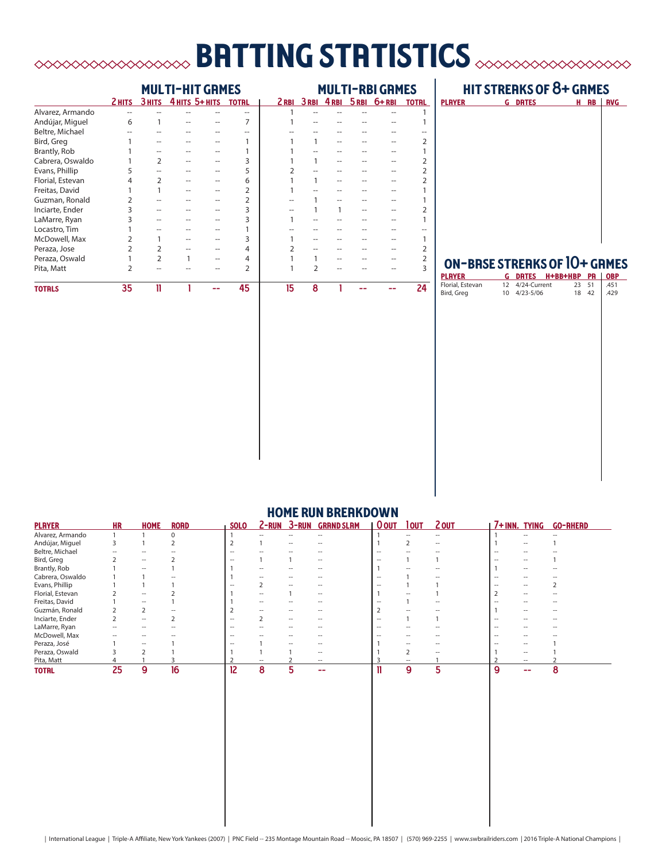# batting statistics

|                  | <b>MULTI-HIT GRMES</b> |               |  |                |                | <b>MULTI-RBI GRMES</b> |   |   |  |                           |              |
|------------------|------------------------|---------------|--|----------------|----------------|------------------------|---|---|--|---------------------------|--------------|
|                  | 2 HITS                 | 3 HITS        |  | 4 ніта 5+ ніта | <b>TOTAL</b>   |                        |   |   |  | 2RBI 3RBI 4RBI 5RBI 6+RBI | <b>TOTRL</b> |
| Alvarez, Armando |                        |               |  |                |                |                        |   |   |  |                           |              |
| Andújar, Miguel  | 6                      |               |  |                |                |                        |   |   |  |                           |              |
| Beltre, Michael  |                        |               |  |                |                |                        |   |   |  |                           |              |
| Bird, Greg       |                        |               |  |                |                |                        | 1 |   |  |                           |              |
| Brantly, Rob     |                        |               |  |                |                |                        |   |   |  |                           |              |
| Cabrera, Oswaldo |                        |               |  |                | 3              |                        |   |   |  |                           |              |
| Evans, Phillip   |                        |               |  |                | 5              |                        |   |   |  |                           |              |
| Florial, Estevan | 4                      | C             |  |                | 6              |                        |   |   |  |                           |              |
| Freitas, David   |                        |               |  |                | $\overline{2}$ |                        |   |   |  |                           |              |
| Guzman, Ronald   |                        |               |  |                | $\overline{2}$ |                        |   |   |  |                           |              |
| Inciarte, Ender  |                        |               |  |                | 3              |                        |   | 1 |  |                           |              |
| LaMarre, Ryan    |                        |               |  |                | 3              |                        |   |   |  |                           |              |
| Locastro, Tim    |                        |               |  |                |                |                        |   |   |  |                           |              |
| McDowell, Max    |                        |               |  |                | 3              |                        |   |   |  |                           |              |
| Peraza, Jose     |                        |               |  |                | 4              |                        |   |   |  |                           |              |
| Peraza, Oswald   |                        | $\mathcal{P}$ |  |                | 4              |                        |   |   |  |                           |              |
| Pita, Matt       |                        |               |  |                | $\overline{2}$ |                        | C |   |  |                           |              |
| <b>TOTRLS</b>    | 35                     | 11            |  |                | 45             | 15                     | 8 |   |  |                           | 24           |

### hit streaks of 8+ games

| <b>PLAYER</b> | <b>G DRTES</b> | $H$ RB | I<br><b>RVG</b> |
|---------------|----------------|--------|-----------------|
|               |                |        |                 |
|               |                |        |                 |
|               |                |        |                 |
|               |                |        |                 |
|               |                |        |                 |
|               |                |        |                 |
|               |                |        |                 |
|               |                |        |                 |
|               |                |        |                 |
|               |                |        |                 |
|               |                |        |                 |

## on-base streaks of 10+ games

| <b>PLAYER</b>    |    |              | <b>G DRTES H+BB+HBP PR</b> |    |    | <b>OBP</b> |
|------------------|----|--------------|----------------------------|----|----|------------|
| Florial, Estevan | 12 | 4/24-Current |                            | 23 | 51 | .451       |
| Bird, Greg       |    | 10 4/23-5/06 |                            | 18 | 42 | .429       |
|                  |    |              |                            |    |    |            |
|                  |    |              |                            |    |    |            |
|                  |    |              |                            |    |    |            |
|                  |    |              |                            |    |    |            |
|                  |    |              |                            |    |    |            |
|                  |    |              |                            |    |    |            |
|                  |    |              |                            |    |    |            |
|                  |    |              |                            |    |    |            |
|                  |    |              |                            |    |    |            |
|                  |    |              |                            |    |    |            |
|                  |    |              |                            |    |    |            |
|                  |    |              |                            |    |    |            |
|                  |    |              |                            |    |    |            |
|                  |    |              |                            |    |    |            |
|                  |    |              |                            |    |    |            |
|                  |    |              |                            |    |    |            |
|                  |    |              |                            |    |    |            |
|                  |    |              |                            |    |    |            |
|                  |    |              |                            |    |    |            |
|                  |    |              |                            |    |    |            |
|                  |    |              |                            |    |    |            |
|                  |    |              |                            |    |    |            |
|                  |    |              |                            |    |    |            |
|                  |    |              |                            |    |    |            |

| <b>PLAYER</b>    | <b>HR</b>                | <b>HOME</b>              | <b>RORD</b> | <b>SOLO</b>       | $2 - RUN$         | $3 - RUN$ | <b>GRAND SLAM</b> | <b>O</b> OUT             | <b>TOUT</b>       | 2 OUT             | 7+INN. TYING             |                          | <b>GO-RHERD</b> |
|------------------|--------------------------|--------------------------|-------------|-------------------|-------------------|-----------|-------------------|--------------------------|-------------------|-------------------|--------------------------|--------------------------|-----------------|
| Alvarez, Armando |                          |                          | $\Omega$    |                   | $\hspace{0.05cm}$ | --        | $ -$              |                          |                   | $\hspace{0.05cm}$ |                          | --                       | --              |
| Andújar, Miguel  | 3                        |                          |             |                   |                   |           |                   |                          |                   | $ -$              |                          |                          |                 |
| Beltre, Michael  |                          |                          |             | $\hspace{0.05cm}$ |                   |           |                   | $\hspace{0.05cm}$        |                   |                   |                          |                          |                 |
| Bird, Greg       |                          | $\overline{\phantom{a}}$ |             |                   |                   |           | $ -$              | --                       |                   |                   |                          | --                       |                 |
| Brantly, Rob     |                          |                          |             |                   |                   |           |                   |                          |                   |                   |                          | --                       |                 |
| Cabrera, Oswaldo |                          |                          |             |                   |                   |           |                   | --                       |                   |                   |                          |                          |                 |
| Evans, Phillip   |                          |                          |             |                   |                   |           |                   |                          |                   |                   |                          | $\overline{a}$           |                 |
| Florial, Estevan |                          | $\overline{\phantom{a}}$ |             |                   | $\hspace{0.05cm}$ |           | $ -$              |                          |                   |                   |                          | $ -$                     |                 |
| Freitas, David   |                          | $\overline{\phantom{a}}$ |             |                   |                   |           | --                |                          |                   |                   |                          |                          |                 |
| Guzmán, Ronald   |                          |                          |             |                   |                   |           |                   |                          |                   |                   |                          | $\overline{\phantom{a}}$ |                 |
| Inciarte, Ender  |                          | $\overline{\phantom{a}}$ |             | $ -$              |                   | $-$       | --                | $\overline{\phantom{a}}$ |                   |                   |                          | $\overline{\phantom{a}}$ |                 |
| LaMarre, Ryan    | $\overline{\phantom{a}}$ | $\overline{\phantom{a}}$ |             | $\hspace{0.05cm}$ | $\hspace{0.05cm}$ | --        | $ -$              | $\hspace{0.05cm}$        |                   |                   | $\overline{\phantom{a}}$ | --                       | --              |
| McDowell, Max    |                          |                          |             | -                 |                   |           |                   |                          |                   |                   |                          |                          |                 |
| Peraza, José     |                          |                          |             |                   |                   |           |                   |                          |                   |                   |                          |                          |                 |
| Peraza, Oswald   |                          |                          |             |                   |                   |           | --                |                          |                   | --                |                          | $\hspace{0.05cm}$        |                 |
| Pita, Matt       |                          |                          |             |                   |                   |           | $\hspace{0.05cm}$ |                          | $\hspace{0.05cm}$ |                   |                          | $ -$                     |                 |
| <b>TOTAL</b>     | 25                       | 9                        | 16          | 12                | 8                 |           | --                |                          | 9                 | 5                 | 9                        | --                       | 8               |

### **HOME RUN BREAKDOWN**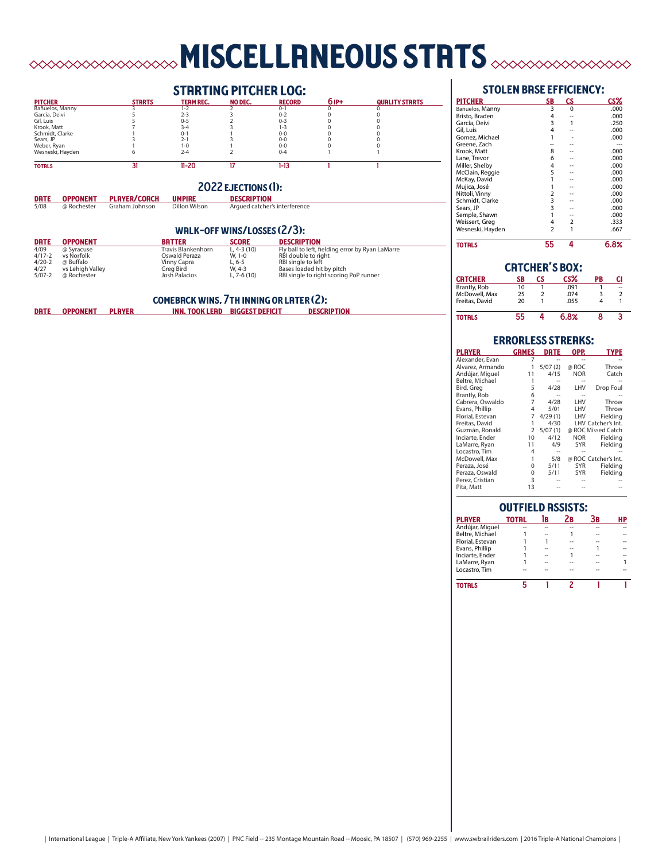#### **MISCELLANEOUS STRTS**  $\begin{picture}(180,10) \put(0,0){\line(1,0){10}} \put(0,0){\line(1,0){10}} \put(0,0){\line(1,0){10}} \put(0,0){\line(1,0){10}} \put(0,0){\line(1,0){10}} \put(0,0){\line(1,0){10}} \put(0,0){\line(1,0){10}} \put(0,0){\line(1,0){10}} \put(0,0){\line(1,0){10}} \put(0,0){\line(1,0){10}} \put(0,0){\line(1,0){10}} \put(0,0){\line(1,0){10}} \put(0$  $\infty$

## **STRRTING PITCHER LOG:**<br>TERMREC. NO DEC. RECORD pitcher starts team rec. no dec. record 6 ip+ quality starts Bañuelos, Manny 3 1-2 2 0-1 0 0 García, Deivi 5 2-3 3 0-2 0 0 Gil, Luis 5 0-5 2 0-3 0 0 Krook, Matt 7 3-4 3 1-3 0 0 Schmidt, Clarke 1 0-1 1 0-0 0 0 Sears, JP 3 3 2-1 3 0-0 0 0<br>Weber, Ryan 1 1-0 1 0 0 0 0<br>Wesneski, Hayden 6 2-4 2 0-4 1 1 31 totals 31 11-20 17 1-13 1 1 **2022 EJECTIONS (1):**<br> **UMPIRE** DESCRIPTION<br>
Dillon Wilson Argued catcher's int **DRTE OPPONENT PLAYER/CORCH UMPIRE DESCRIPTION**<br>5/08 @ Rochester Graham Johnson Dillon Wilson Argued catcher's interference walk-off wins/losses (2/3): **DRITE OPPONENT BRITTER SCORE DESCRIPTION**<br>
4/09 @Syracuse Travis Blankenhorn L, 4-3 (10) Fly ball to left, fielding error by Ryan LaMarre<br>
4/17-2 vs Norfolk Oswald Peraza W, 1-0 RBI double to right<br>
4/20-2 @Buffalo Vinny

**COMEBACK WINS, 7TH INNING OR LATER (2):**<br>INN. TOOK LEAD BIGGEST DEFICIT DESCRIPTION

DRTE OPPONENT PLAYER INN. TOOK LEAD BIGGEST DEFICIT

| IVINLJ         |    | uu |                       |    | <u>v.v.a</u>            |
|----------------|----|----|-----------------------|----|-------------------------|
|                |    |    | <b>CRTCHER'S BOX:</b> |    |                         |
| <b>CRTCHER</b> | SΒ | СS | $cs\%$                | PB | CI                      |
| Brantly, Rob   | 10 |    | .091                  |    | --                      |
| McDowell, Max  | 25 |    | .074                  |    | $\overline{\mathbf{z}}$ |
| Freitas, David | 20 |    | .055                  |    |                         |
|                |    |    |                       |    |                         |

55 totals 55 4 6.8% 8 3

|                  | <b>ERRORLESS STREAKS:</b> |             |            |                      |
|------------------|---------------------------|-------------|------------|----------------------|
| <b>PLAYER</b>    | <b>GRMES</b>              | <b>DRTE</b> | OPP.       | <b>TYPE</b>          |
| Alexander, Evan  |                           |             |            |                      |
| Alvarez, Armando |                           | 5/07(2)     | @ ROC      | Throw                |
| Andújar, Miguel  | 11                        | 4/15        | <b>NOR</b> | Catch                |
| Beltre, Michael  | 1                         |             |            |                      |
| Bird, Greg       | 5                         | 4/28        | LHV        | Drop Foul            |
| Brantly, Rob     | 6                         |             |            |                      |
| Cabrera, Oswaldo | 7                         | 4/28        | LHV        | Throw                |
| Evans, Phillip   | 4                         | 5/01        | LHV        | Throw                |
| Florial, Estevan | 7                         | 4/29(1)     | LHV        | Fieldina             |
| Freitas, David   | 1                         | 4/30        |            | LHV Catcher's Int.   |
| Guzmán, Ronald   | $\overline{2}$            | 5/07(1)     |            | @ ROC Missed Catch   |
| Inciarte, Ender  | 10                        | 4/12        | <b>NOR</b> | Fielding             |
| LaMarre, Ryan    | 11                        | 4/9         | <b>SYR</b> | Fielding             |
| Locastro, Tim    | 4                         |             |            |                      |
| McDowell, Max    | 1                         | 5/8         |            | @ ROC Catcher's Int. |
| Peraza, José     | 0                         | 5/11        | <b>SYR</b> | Fielding             |
| Peraza, Oswald   | 0                         | 5/11        | <b>SYR</b> | Fielding             |
| Perez, Cristian  | 3                         |             |            |                      |
| Pita, Matt       | 13                        |             |            |                      |

| <b>OUTFIELD ASSISTS:</b> |              |    |                |    |    |  |  |  |
|--------------------------|--------------|----|----------------|----|----|--|--|--|
| <b>PLAYER</b>            | <b>TOTRL</b> | lв | 2 <sub>B</sub> | Зв | HP |  |  |  |
| Andújar, Miguel          |              |    |                |    |    |  |  |  |
| Beltre, Michael          |              |    |                |    |    |  |  |  |
| Florial, Estevan         |              |    |                |    |    |  |  |  |
| Evans, Phillip           |              |    |                |    |    |  |  |  |
| Inciarte, Ender          |              |    |                |    |    |  |  |  |
| LaMarre, Ryan            |              |    |                |    |    |  |  |  |
| Locastro. Tim            |              |    |                |    |    |  |  |  |
| TOTRLS                   |              |    |                |    |    |  |  |  |

## stolen base efficiency:

| <b>PITCHER</b>   | <b>SB</b>               | <b>CS</b>      | CS%  |
|------------------|-------------------------|----------------|------|
| Bañuelos, Manny  | 3                       | 0              | .000 |
| Bristo, Braden   | 4                       |                | .000 |
| García, Deivi    | 3                       | 1              | .250 |
| Gil, Luis        | 4                       |                | .000 |
| Gomez, Michael   | 1                       |                | .000 |
| Greene, Zach     |                         |                |      |
| Krook, Matt      | 8                       |                | .000 |
| Lane, Trevor     | 6                       |                | .000 |
| Miller, Shelby   | 4                       |                | .000 |
| McClain, Reggie  | 5                       |                | .000 |
| McKay, David     |                         |                | .000 |
| Mujica, José     |                         |                | .000 |
| Nittoli, Vinny   | 2                       |                | .000 |
| Schmidt, Clarke  | 3                       |                | .000 |
| Sears, JP        | 3                       |                | .000 |
| Semple, Shawn    | 1                       |                | .000 |
| Weissert, Greg   | 4                       | $\overline{2}$ | .333 |
| Wesneski, Hayden | $\overline{\mathbf{c}}$ |                | .667 |
| <b>TOTALS</b>    | 55                      | 4              | 6.8% |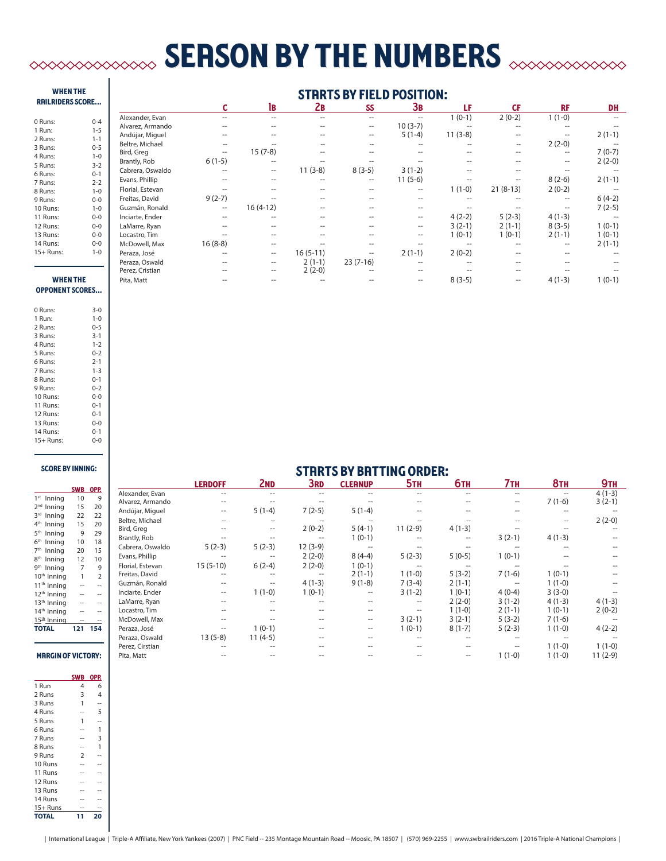# **SERSON BY THE NUMBERS**  $\infty$

#### when the RRILRIDERS SCORE

| 0 Runs:   | $0 - 4$      |
|-----------|--------------|
| 1 Run:    | $1 - 5$      |
| 2 Runs:   | $1 - 1$      |
| 3 Runs:   | $0 - 5$      |
| 4 Runs:   | $1 - 0$      |
| 5 Runs:   | $3-2$        |
| 6 Runs:   | $0 - 1$      |
| 7 Runs:   | $2 - 2$      |
| 8 Runs:   | $1 - 0$      |
| 9 Runs:   | $0 - 0$      |
| 10 Runs:  | $1 - 0$      |
| 11 Runs:  | $0 - 0$      |
| 12 Runs:  | $0 - 0$      |
| 13 Runs:  | $0 - 0$      |
| 14 Runs:  | 0-0          |
| 15+ Runs: | $1 - \Omega$ |

#### starts by field position:

|                  |                   | lв         | 2в         | SS         | Зв        | LF        | СF         | <b>RF</b> | <b>DH</b> |
|------------------|-------------------|------------|------------|------------|-----------|-----------|------------|-----------|-----------|
| Alexander, Evan  |                   |            | --         | --         |           | $1(0-1)$  | $2(0-2)$   | $1(1-0)$  |           |
| Alvarez, Armando |                   |            |            | --         | $10(3-7)$ |           |            |           |           |
| Andújar, Miguel  |                   |            |            | $- -$      | $5(1-4)$  | $11(3-8)$ |            | --        | $2(1-1)$  |
| Beltre, Michael  |                   |            |            |            |           |           |            | $2(2-0)$  |           |
| Bird, Greg       | --                | $15(7-8)$  |            |            |           |           |            | --        | $7(0-7)$  |
| Brantly, Rob     | $6(1-5)$          |            |            |            |           |           |            |           | $2(2-0)$  |
| Cabrera, Oswaldo |                   | --         | $11(3-8)$  | $8(3-5)$   | $3(1-2)$  |           |            |           |           |
| Evans, Phillip   |                   |            |            | --         | $11(5-6)$ |           |            | $8(2-6)$  | $2(1-1)$  |
| Florial, Estevan |                   |            |            |            |           | $1(1-0)$  | $21(8-13)$ | $2(0-2)$  |           |
| Freitas, David   | $9(2-7)$          |            |            |            |           |           |            | $-$       | $6(4-2)$  |
| Guzmán, Ronald   | $\hspace{0.05cm}$ | $16(4-12)$ |            |            |           |           |            | --        | $7(2-5)$  |
| Inciarte, Ender  |                   |            |            |            | --        | $4(2-2)$  | $5(2-3)$   | $4(1-3)$  |           |
| LaMarre, Ryan    |                   |            |            |            | --        | $3(2-1)$  | $2(1-1)$   | $8(3-5)$  | $1(0-1)$  |
| Locastro, Tim    |                   |            |            |            | --        | $1(0-1)$  | $1(0-1)$   | $2(1-1)$  | $1(0-1)$  |
| McDowell, Max    | $16(8-8)$         |            |            |            |           |           |            |           | $2(1-1)$  |
| Peraza, José     |                   | --         | $16(5-11)$ | --         | $2(1-1)$  | $2(0-2)$  |            |           |           |
| Peraza, Oswald   |                   | $-$        | $2(1-1)$   | $23(7-16)$ |           |           |            |           |           |
| Perez, Cristian  |                   |            | $2(2-0)$   |            |           |           |            |           |           |
| Pita, Matt       |                   |            |            |            |           | $8(3-5)$  |            | $4(1-3)$  | $1(0-1)$  |

#### when the opponent scores...

| $3 - 0$ |
|---------|
| $1 - 0$ |
| $0 - 5$ |
| $3 - 1$ |
| $1 - 2$ |
| $0 - 2$ |
| $2 - 1$ |
| $1 - 3$ |
| $0 - 1$ |
| $0 - 2$ |
| $0 - 0$ |
| $0 - 1$ |
| $0 - 1$ |
| $0 - 0$ |
| $0 - 1$ |
| 0-0     |
|         |

#### score by inning:

|                            | <b>SWB</b>     | OPP.           |
|----------------------------|----------------|----------------|
| 1 <sup>st</sup><br>Inning  | 10             | 9              |
| 2 <sub>nd</sub><br>Inning  | 15             | 20             |
| 3 <sup>rd</sup><br>Inning  | 22             | 22             |
| 4 <sup>th</sup><br>Inning  | 15             | 20             |
| 5 <sup>th</sup><br>Inning  | 9              | 29             |
| 6 <sup>th</sup><br>Inning  | 10             | 18             |
| 7 <sup>th</sup><br>Inning  | 20             | 15             |
| <b>gth</b><br>Inning       | 12             | 10             |
| gth<br>Inning              | $\overline{7}$ | 9              |
| 10 <sup>th</sup> Inning    | 1              | $\overline{2}$ |
| 11 <sup>th</sup> Inning    |                |                |
| 12 <sup>th</sup> Inning    |                |                |
| 13 <sup>th</sup> Inning    |                |                |
| 14 <sup>th</sup><br>Inning |                |                |
| 15 <sup>th</sup> _Inning   |                |                |
| <b>TOTAL</b>               | 121            | 154            |
|                            |                |                |
|                            |                |                |

### starts by batting order:

|                           |                 |                                                |                  |                |            |                          | . <b>.</b>        | <b>VIIV-LIV</b>   |                     |          |                          |            |
|---------------------------|-----------------|------------------------------------------------|------------------|----------------|------------|--------------------------|-------------------|-------------------|---------------------|----------|--------------------------|------------|
|                           |                 |                                                |                  | <b>LERDOFF</b> | <b>2ND</b> | 3rd                      | <b>CLEANUP</b>    | 5 <sub>TH</sub>   | <b>6тн</b>          | 7тн      | <b>8TH</b>               | <b>9TH</b> |
|                           |                 | SWB OPP.                                       | Alexander, Evan  |                |            |                          |                   | $- -$             |                     | --       | --                       | $4(1-3)$   |
| 1 <sup>st</sup> Inning    | 10              | 9                                              | Alvarez, Armando |                |            |                          |                   |                   |                     |          | $7(1-6)$                 | $3(2-1)$   |
| 2 <sup>nd</sup> Inning    | 15              | 20                                             | Andújar, Miguel  | $- -$          | $5(1-4)$   | $7(2-5)$                 | $5(1-4)$          |                   |                     |          |                          |            |
| 3 <sup>rd</sup> Inning    | 22              | 22                                             | Beltre, Michael  |                |            |                          |                   |                   |                     |          | $\overline{\phantom{a}}$ | $2(2-0)$   |
| 4 <sup>th</sup> Inning    | 15              | 20                                             | Bird, Greg       |                | $- -$      | $2(0-2)$                 | $5(4-1)$          | $11(2-9)$         | $4(1-3)$            |          |                          |            |
| 5 <sup>th</sup> Inning    | 9               | 29                                             | Brantly, Rob     |                |            | $\overline{\phantom{a}}$ | $1(0-1)$          | $- -$             | $\hspace{0.05cm}$   | $3(2-1)$ | $4(1-3)$                 |            |
| 6 <sup>th</sup> Inning    | 10 <sup>°</sup> | 18                                             | Cabrera, Oswaldo | $5(2-3)$       | $5(2-3)$   | $12(3-9)$                |                   |                   |                     |          |                          |            |
| 7 <sup>th</sup><br>Inning | 20              | 15                                             | Evans, Phillip   |                |            | $2(2-0)$                 | $8(4-4)$          | $5(2-3)$          | $5(0-5)$            | $1(0-1)$ |                          |            |
| 8 <sup>th</sup><br>Inning | 12              | 10                                             | Florial, Estevan | $15(5-10)$     | $6(2-4)$   | $2(2-0)$                 | $1(0-1)$          |                   |                     |          |                          |            |
| 9 <sup>th</sup> Inning    |                 | 9                                              | Freitas, David   |                |            |                          | $2(1-1)$          | $1(1-0)$          | $5(3-2)$            | $7(1-6)$ | $1(0-1)$                 |            |
| 10 <sup>th</sup> Inning   |                 | $\overline{2}$                                 | Guzmán, Ronald   |                |            | $4(1-3)$                 | $9(1-8)$          | $7(3-4)$          | $2(1-1)$            |          | $1(1-0)$                 |            |
| $11th$ Inning             | $- -$           | $\overline{\phantom{a}}$                       |                  |                |            |                          |                   |                   |                     |          |                          |            |
| 12 <sup>th</sup> Inning   | $- -$           | $\sim$                                         | Inciarte, Ender  | $- -$          | $1(1-0)$   | $1(0-1)$                 | $\hspace{0.05cm}$ | $3(1-2)$          | $1(0-1)$            | $4(0-4)$ | $3(3-0)$                 |            |
| 13 <sup>th</sup> Inning   |                 | $\sim$                                         | LaMarre, Ryan    |                |            |                          |                   |                   | $2(2-0)$            | $3(1-2)$ | $4(1-3)$                 | $4(1-3)$   |
| 14 <sup>th</sup> Inning   | $- -$           | $\hspace{0.05cm}$                              | Locastro, Tim    |                |            |                          | --                | $\hspace{0.05cm}$ | $1(1-0)$            | $2(1-1)$ | $1(0-1)$                 | $2(0-2)$   |
| $15th$ Inning             | $- -$           | $\hspace{0.1mm}-\hspace{0.1mm}-\hspace{0.1mm}$ | McDowell, Max    |                |            |                          | $\qquad \qquad -$ | $3(2-1)$          | $3(2-1)$            | $5(3-2)$ | $7(1-6)$                 |            |
| <b>TOTAL</b>              |                 | 121 154                                        | Peraza, José     |                | $1(0-1)$   | $- -$                    | $\qquad \qquad -$ | $1(0-1)$          | $8(1-7)$            | $5(2-3)$ | $1(1-0)$                 | $4(2-2)$   |
|                           |                 |                                                | Peraza, Oswald   | $13(5-8)$      | $11(4-5)$  | --                       |                   |                   |                     |          |                          |            |
|                           |                 |                                                | Perez, Cirstian  |                |            |                          |                   |                   |                     |          | $1(1-0)$                 | $1(1-0)$   |
| <b>MRRGIN OF VICTORY:</b> |                 |                                                | Pita, Matt       |                |            |                          |                   |                   | $\hspace{0.05cm} -$ | $1(1-0)$ | $1(1-0)$                 | $11(2-9)$  |
|                           |                 |                                                |                  |                |            |                          |                   |                   |                     |          |                          |            |

|              | WВ             | OPP. |
|--------------|----------------|------|
| 1 Run        | 4              | 6    |
| 2 Runs       | 3              | 4    |
| 3 Runs       | 1              |      |
| 4 Runs       |                | 5    |
| 5 Runs       | 1              |      |
| 6 Runs       |                | 1    |
| 7 Runs       |                | 3    |
| 8 Runs       |                | 1    |
| 9 Runs       | $\overline{2}$ |      |
| 10 Runs      |                |      |
| 11 Runs      |                |      |
| 12 Runs      |                |      |
| 13 Runs      |                |      |
| 14 Runs      |                |      |
| $15+$ Runs   |                |      |
| <b>TOTAL</b> |                | 20   |

swb opp.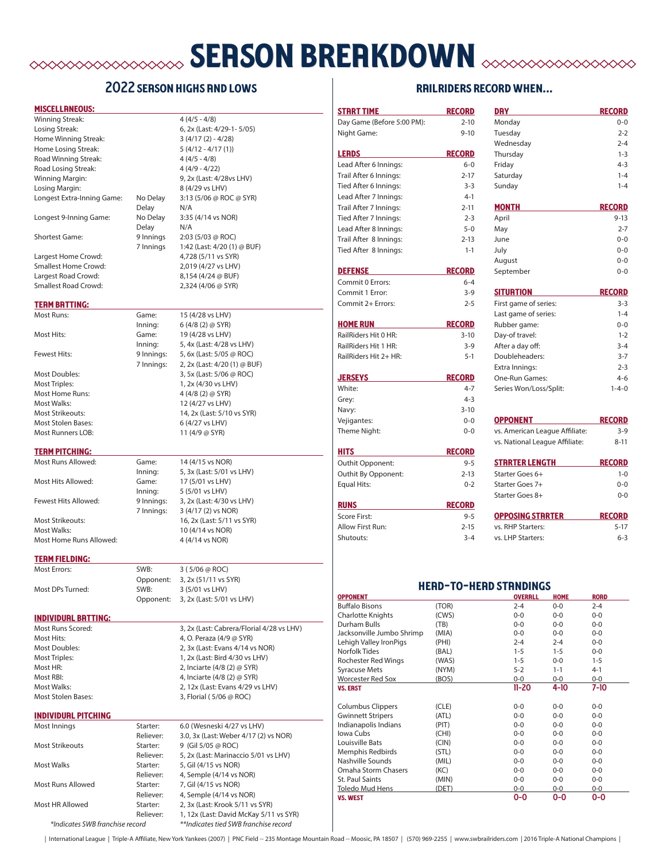## **SERSON BREAKDOWN SEASON BREAKDOWN**

### 2022 SERSON HIGHS AND LOWS

#### miscellaneous:

| Winning Streak:             |            | $4(4/5 - 4/8)$               |
|-----------------------------|------------|------------------------------|
| Losing Streak:              |            | 6, 2x (Last: 4/29-1-5/05)    |
| Home Winning Streak:        |            | $3(4/17(2) - 4/28)$          |
| Home Losing Streak:         |            | $5(4/12 - 4/17(1))$          |
| Road Winning Streak:        |            | $4(4/5 - 4/8)$               |
| Road Losing Streak:         |            | $4(4/9 - 4/22)$              |
| Winning Margin:             |            | 9, 2x (Last: 4/28vs LHV)     |
| Losing Margin:              |            | 8 (4/29 vs LHV)              |
| Longest Extra-Inning Game:  | No Delay   | 3:13 (5/06 @ ROC @ SYR)      |
|                             | Delay      | N/A                          |
| Longest 9-Inning Game:      | No Delay   | 3:35 (4/14 vs NOR)           |
|                             | Delay      | N/A                          |
| <b>Shortest Game:</b>       | 9 Innings  | 2:03 (5/03 @ ROC)            |
|                             | 7 Innings  | 1:42 (Last: 4/20 (1) @ BUF)  |
| Largest Home Crowd:         |            | 4,728 (5/11 vs SYR)          |
| <b>Smallest Home Crowd:</b> |            | 2,019 (4/27 vs LHV)          |
| Largest Road Crowd:         |            | 8,154 (4/24 @ BUF)           |
| <b>Smallest Road Crowd:</b> |            | 2,324 (4/06 @ SYR)           |
|                             |            |                              |
| TERM BRTTING:               |            |                              |
| <b>Most Runs:</b>           | Game:      | 15 (4/28 vs LHV)             |
|                             | Inning:    | $6(4/8(2)$ @ SYR)            |
| Most Hits:                  | Game:      | 19 (4/28 vs LHV)             |
|                             | Inning:    | 5, 4x (Last: 4/28 vs LHV)    |
| <b>Fewest Hits:</b>         | 9 Innings: | 5, 6x (Last: 5/05 @ ROC)     |
|                             | 7 Innings: | 2, 2x (Last: 4/20 (1) @ BUF) |
| <b>Most Doubles:</b>        |            | 3, 5x (Last: 5/06 @ ROC)     |
| <b>Most Triples:</b>        |            | 1, 2x (4/30 vs LHV)          |
| Most Home Runs:             |            | 4 (4/8 (2) @ SYR)            |
| Most Walks:                 |            | 12 (4/27 vs LHV)             |
| <b>Most Strikeouts:</b>     |            | 14, 2x (Last: 5/10 vs SYR)   |
| <b>Most Stolen Bases:</b>   |            | 6 (4/27 vs LHV)              |
| <b>Most Runners LOB:</b>    |            | 11 (4/9 @ SYR)               |
| <b>TERM PITCHING:</b>       |            |                              |
| Most Runs Allowed:          | Game:      | 14 (4/15 vs NOR)             |
|                             | Inning:    | 5, 3x (Last: 5/01 vs LHV)    |
| Most Hits Allowed:          | Game:      | 17 (5/01 vs LHV)             |
|                             | Inning:    | 5 (5/01 vs LHV)              |
| Fewest Hits Allowed:        | 9 Innings: | 3, 2x (Last: 4/30 vs LHV)    |
|                             | 7 Innings: | 3 (4/17 (2) vs NOR)          |

Most Walks: 10 (4/14 vs NOR) Most Home Runs Allowed: 4 (4/14 vs NOR)

is LHV) Most Strikeouts: 16, 2x (Last: 5/11 vs SYR)

2, 12x (Last: Evans 4/29 vs LHV)

#### **TERM FIELDING:**

Most Errors: SWB: 3 ( 5/06 @ ROC) Opponent: 3, 2x (51/11 vs SYR) Most DPs Turned: SWB: 3 (5/01 vs LHV) Opponent: 3, 2x (Last: 5/01 vs LHV)

#### individual batting:

Most Runs Scored: 3, 2x (Last: Cabrera/Florial 4/28 vs LHV) Most Hits: 4, O. Peraza (4/9 @ SYR) Most Doubles: 2, 3x (Last: Evans 4/14 vs NOR) Most Triples: 1, 2x (Last: Bird 4/30 vs LHV) Most HR: 2, Inciarte (4/8 (2) @ SYR) Most RBI:  $4$ , Inciarte (4/8 (2) @ SYR)<br>Most Walks: 2. 12x (Last: Evans 4/29 v: Most Stolen Bases: 3, Florial (5/06 @ ROC)

#### individual pitching

| Most Innings                    | Starter:  | 6.0 (Wesneski 4/27 vs LHV)             |  |  |  |
|---------------------------------|-----------|----------------------------------------|--|--|--|
|                                 | Reliever: | 3.0, 3x (Last: Weber 4/17 (2) vs NOR)  |  |  |  |
| <b>Most Strikeouts</b>          | Starter:  | 9 (Gil 5/05 @ ROC)                     |  |  |  |
|                                 | Reliever: | 5, 2x (Last: Marinaccio 5/01 vs LHV)   |  |  |  |
| Most Walks                      | Starter:  | 5, Gil (4/15 vs NOR)                   |  |  |  |
|                                 | Reliever: | 4, Semple (4/14 vs NOR)                |  |  |  |
| Most Runs Allowed               | Starter:  | 7, Gil (4/15 vs NOR)                   |  |  |  |
|                                 | Reliever: | 4, Semple (4/14 vs NOR)                |  |  |  |
| Most HR Allowed                 | Starter:  | 2, 3x (Last: Krook 5/11 vs SYR)        |  |  |  |
|                                 | Reliever: | 1, 12x (Last: David McKay 5/11 vs SYR) |  |  |  |
| *Indicates SWB franchise record |           | **Indicates tied SWB franchise record  |  |  |  |

## railriders record when... strrt time record day record day record

| Night Game:                                                                                                                                                                                                                                                                                                                                                                                                                 | $9 - 10$       |                                      | $0 - 0$          |  |
|-----------------------------------------------------------------------------------------------------------------------------------------------------------------------------------------------------------------------------------------------------------------------------------------------------------------------------------------------------------------------------------------------------------------------------|----------------|--------------------------------------|------------------|--|
|                                                                                                                                                                                                                                                                                                                                                                                                                             |                | Tuesday                              | $2 - 2$          |  |
|                                                                                                                                                                                                                                                                                                                                                                                                                             |                | Wednesday                            | $2 - 4$          |  |
| <b>LERDS</b>                                                                                                                                                                                                                                                                                                                                                                                                                | <b>RECORD</b>  | Thursday                             | $1 - 3$          |  |
| Lead After 6 Innings:                                                                                                                                                                                                                                                                                                                                                                                                       | $6-0$          | Friday                               | $4 - 3$          |  |
|                                                                                                                                                                                                                                                                                                                                                                                                                             | $2 - 17$       |                                      | $1 - 4$          |  |
| Trail After 6 Innings:                                                                                                                                                                                                                                                                                                                                                                                                      |                | Saturday                             |                  |  |
| Tied After 6 Innings:                                                                                                                                                                                                                                                                                                                                                                                                       | $3 - 3$        | Sunday                               | $1 - 4$          |  |
| Lead After 7 Innings:                                                                                                                                                                                                                                                                                                                                                                                                       | $4-1$          |                                      |                  |  |
| Trail After 7 Innings:                                                                                                                                                                                                                                                                                                                                                                                                      | $2 - 11$       | <b>MONTH</b>                         | <b>RECORD</b>    |  |
| Tied After 7 Innings:                                                                                                                                                                                                                                                                                                                                                                                                       | $2 - 3$        | April                                | $9 - 13$         |  |
| Lead After 8 Innings:                                                                                                                                                                                                                                                                                                                                                                                                       | $5 - 0$        | May                                  | $2 - 7$          |  |
| Trail After 8 Innings:                                                                                                                                                                                                                                                                                                                                                                                                      | $2 - 13$       | June                                 | $0 - 0$          |  |
| Tied After 8 Innings:                                                                                                                                                                                                                                                                                                                                                                                                       | $1 - 1$        | July                                 | $0 - 0$          |  |
|                                                                                                                                                                                                                                                                                                                                                                                                                             |                | August                               | $0 - 0$          |  |
| <b>DEFENSE</b>                                                                                                                                                                                                                                                                                                                                                                                                              | <b>RECORD</b>  | September                            | $0 - 0$          |  |
| Commit 0 Errors:                                                                                                                                                                                                                                                                                                                                                                                                            | $6 - 4$        |                                      |                  |  |
| Commit 1 Error:                                                                                                                                                                                                                                                                                                                                                                                                             |                |                                      |                  |  |
|                                                                                                                                                                                                                                                                                                                                                                                                                             | $3 - 9$        | <b>SITURTION</b>                     | <b>RECORD</b>    |  |
| Commit 2+ Errors:                                                                                                                                                                                                                                                                                                                                                                                                           | $2 - 5$        | First game of series:                | $3 - 3$          |  |
|                                                                                                                                                                                                                                                                                                                                                                                                                             |                | Last game of series:                 | $1 - 4$          |  |
| <b>HOME RUN</b>                                                                                                                                                                                                                                                                                                                                                                                                             | <b>RECORD</b>  | Rubber game:                         | $0 - 0$          |  |
| RailRiders Hit 0 HR:                                                                                                                                                                                                                                                                                                                                                                                                        | $3 - 10$       | Day-of travel:                       | $1 - 2$          |  |
| RailRiders Hit 1 HR:                                                                                                                                                                                                                                                                                                                                                                                                        | $3 - 9$        | After a day off:                     | $3 - 4$          |  |
| RailRiders Hit 2+ HR:                                                                                                                                                                                                                                                                                                                                                                                                       | $5-1$          | Doubleheaders:                       | $3 - 7$          |  |
|                                                                                                                                                                                                                                                                                                                                                                                                                             |                | Extra Innings:                       | $2 - 3$          |  |
| <b>JERSEYS</b>                                                                                                                                                                                                                                                                                                                                                                                                              | <b>RECORD</b>  | One-Run Games:                       | $4 - 6$          |  |
|                                                                                                                                                                                                                                                                                                                                                                                                                             |                |                                      |                  |  |
| White:                                                                                                                                                                                                                                                                                                                                                                                                                      | $4 - 7$        | Series Won/Loss/Split:               | $1 - 4 - 0$      |  |
| Grey:                                                                                                                                                                                                                                                                                                                                                                                                                       | $4 - 3$        |                                      |                  |  |
| Navy:                                                                                                                                                                                                                                                                                                                                                                                                                       | $3 - 10$       |                                      |                  |  |
| Vejigantes:                                                                                                                                                                                                                                                                                                                                                                                                                 | $0 - 0$        | <b>OPPONENT</b>                      | <b>RECORD</b>    |  |
| Theme Night:                                                                                                                                                                                                                                                                                                                                                                                                                | $0 - 0$        | vs. American League Affiliate:       | $3 - 9$          |  |
|                                                                                                                                                                                                                                                                                                                                                                                                                             |                | vs. National League Affiliate:       | $8 - 11$         |  |
| HITS                                                                                                                                                                                                                                                                                                                                                                                                                        | <b>RECORD</b>  |                                      |                  |  |
| Outhit Opponent:                                                                                                                                                                                                                                                                                                                                                                                                            | $9 - 5$        | <b>STRRTER LENGTH</b>                | <b>RECORD</b>    |  |
| Outhit By Opponent:                                                                                                                                                                                                                                                                                                                                                                                                         | $2 - 13$       | Starter Goes 6+                      | $1 - 0$          |  |
|                                                                                                                                                                                                                                                                                                                                                                                                                             | $0 - 2$        | Starter Goes 7+                      | $0 - 0$          |  |
|                                                                                                                                                                                                                                                                                                                                                                                                                             |                |                                      | $0 - 0$          |  |
|                                                                                                                                                                                                                                                                                                                                                                                                                             |                |                                      |                  |  |
|                                                                                                                                                                                                                                                                                                                                                                                                                             |                | Starter Goes 8+                      |                  |  |
|                                                                                                                                                                                                                                                                                                                                                                                                                             | <b>RECORD</b>  |                                      |                  |  |
|                                                                                                                                                                                                                                                                                                                                                                                                                             | $9 - 5$        | <b>OPPOSING STRRTER</b>              | <b>RECORD</b>    |  |
|                                                                                                                                                                                                                                                                                                                                                                                                                             | $2 - 15$       | vs. RHP Starters:                    | $5-17$           |  |
|                                                                                                                                                                                                                                                                                                                                                                                                                             | $3 - 4$        | vs. LHP Starters:                    | $6 - 3$          |  |
| Equal Hits:<br><b>RUNS</b><br>Score First:<br>Allow First Run:<br>Shutouts:                                                                                                                                                                                                                                                                                                                                                 |                | <b>HERD-TO-HERD STRNDINGS</b>        |                  |  |
|                                                                                                                                                                                                                                                                                                                                                                                                                             |                | <b>OVERRLL HOME</b>                  | <b>RORD</b>      |  |
|                                                                                                                                                                                                                                                                                                                                                                                                                             | (TOR)          | $2 - 4$<br>$0 - 0$                   | $2 - 4$          |  |
|                                                                                                                                                                                                                                                                                                                                                                                                                             | (CWS)          | $0-0$<br>0-0                         | $0-0$            |  |
|                                                                                                                                                                                                                                                                                                                                                                                                                             | (TB)           | $0-0$<br>$0-0$                       | $0-0$            |  |
|                                                                                                                                                                                                                                                                                                                                                                                                                             | (MIA)          | $0-0$<br>$0-0$                       | $0-0$            |  |
|                                                                                                                                                                                                                                                                                                                                                                                                                             | (PHI)          | $2 - 4$<br>$2 - 4$                   | $0-0$            |  |
|                                                                                                                                                                                                                                                                                                                                                                                                                             | (BAL)          | $1 - 5$<br>$1 - 5$                   | $0-0$            |  |
|                                                                                                                                                                                                                                                                                                                                                                                                                             | (WAS)          | $1 - 5$<br>$0-0$                     | $1 - 5$          |  |
|                                                                                                                                                                                                                                                                                                                                                                                                                             | (NYM)          | $5 - 2$<br>$1 - 1$                   | $4 - 1$          |  |
|                                                                                                                                                                                                                                                                                                                                                                                                                             | (BOS)          | $0-0$<br>$0-0$<br>11-20<br>4-10      | $0-0$<br>7-10    |  |
|                                                                                                                                                                                                                                                                                                                                                                                                                             |                |                                      |                  |  |
|                                                                                                                                                                                                                                                                                                                                                                                                                             | (CLE)          | $0-0$<br>$0-0$                       | 0-0              |  |
|                                                                                                                                                                                                                                                                                                                                                                                                                             | (ATL)          | $0-0$<br>$0-0$                       | $0-0$            |  |
|                                                                                                                                                                                                                                                                                                                                                                                                                             | (PIT)          | $0-0$<br>$0-0$                       | $0-0$            |  |
|                                                                                                                                                                                                                                                                                                                                                                                                                             | (CHI)          | $0-0$<br>0-0                         | $0-0$            |  |
|                                                                                                                                                                                                                                                                                                                                                                                                                             | (CIN)          | $0-0$<br>$0-0$                       | $0-0$            |  |
|                                                                                                                                                                                                                                                                                                                                                                                                                             | (STL)          | $0-0$<br>$0-0$                       | $0-0$            |  |
|                                                                                                                                                                                                                                                                                                                                                                                                                             | (MIL)          | $0-0$<br>$0-0$                       | $0-0$            |  |
| <b>OPPONENT</b><br>Buffalo Bisons<br>Charlotte Knights<br>Durham Bulls<br>Jacksonville Jumbo Shrimp<br>Lehigh Valley IronPigs<br>Norfolk Tides<br>Rochester Red Wings<br><b>Syracuse Mets</b><br><b>Worcester Red Sox</b><br><b>VS. ERST</b><br><b>Columbus Clippers</b><br><b>Gwinnett Stripers</b><br>Indianapolis Indians<br>Iowa Cubs<br>Louisville Bats<br>Memphis Redbirds<br>Nashville Sounds<br>Omaha Storm Chasers | (KC)           | $0-0$<br>$0-0$                       | $0-0$            |  |
| St. Paul Saints<br>Toledo Mud Hens                                                                                                                                                                                                                                                                                                                                                                                          | (MIN)<br>(DET) | $0-0$<br>$0-0$<br>$0 - 0$<br>$0 - 0$ | $0-0$<br>$0 - 0$ |  |

| International League | Triple-A Affiliate, New York Yankees (2007) | PNC Field -- 235 Montage Mountain Road -- Moosic, PA 18507 | (570) 969-2255 | www.swbrailriders.com | 2016 Triple-A National Champions |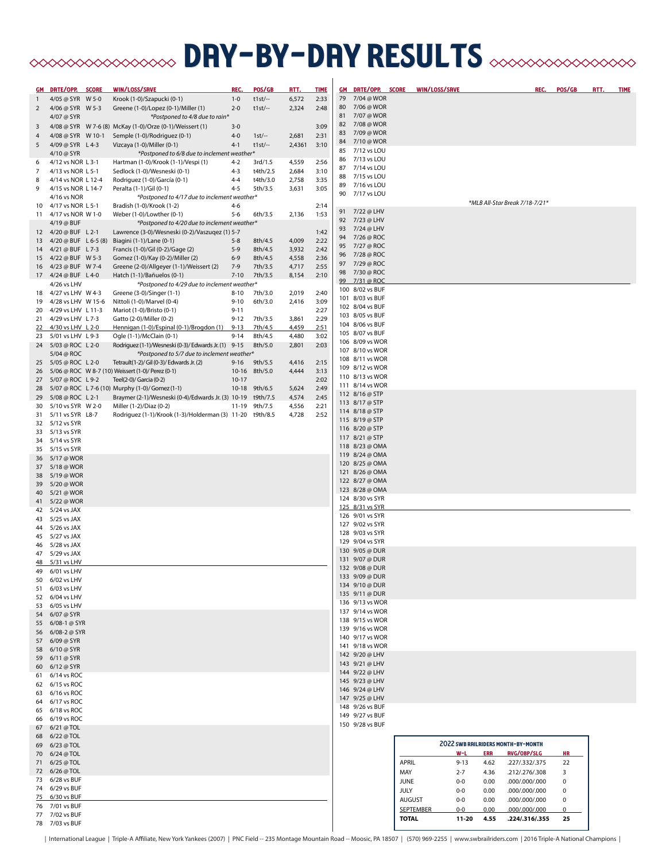## **BRY-DRY RESULTS** AND AN ARESOLYS

| <u>GM </u>     | DRTE/OPP. SCORE                             | WIN/LOSS/SRVE                                                                                     | REC.                 | POS/GB                   | <u>RTT.</u>    | <b>TIME</b>  | <b>GM DRTE/OPP. SCORE</b>          |                              | WIN/LOSS/SRVE  | REC.                                           | POS/GB         | <u>RTT.</u> | <b>TIME</b> |
|----------------|---------------------------------------------|---------------------------------------------------------------------------------------------------|----------------------|--------------------------|----------------|--------------|------------------------------------|------------------------------|----------------|------------------------------------------------|----------------|-------------|-------------|
| $\mathbf{1}$   | 4/05 @ SYR W 5-0                            | Krook (1-0)/Szapucki (0-1)                                                                        | $1 - 0$              | $t1st/-$                 | 6,572          | 2:33         | 79 7/04 @ WOR                      |                              |                |                                                |                |             |             |
| $\overline{2}$ | 4/06 @ SYR W 5-3                            | Greene (1-0)/Lopez (0-1)/Miller (1)                                                               | $2 - 0$              | $t1st$ --                | 2,324          | 2:48         | 7/06 @ WOR<br>80<br>81 7/07 @ WOR  |                              |                |                                                |                |             |             |
| 3              | 4/07 @ SYR                                  | *Postponed to 4/8 due to rain*<br>4/08 @ SYR W 7-6 (8) McKay (1-0)/Orze (0-1)/Weissert (1)        | $3 - 0$              |                          |                | 3:09         | 7/08 @ WOR<br>82                   |                              |                |                                                |                |             |             |
| 4              | 4/08 @ SYR W 10-1                           | Semple (1-0)/Rodriguez (0-1)                                                                      | $4 - 0$              | $1st$ --                 | 2,681          | 2:31         | 7/09 @ WOR<br>83                   |                              |                |                                                |                |             |             |
| 5              | 4/09 @ SYR L 4-3                            | Vizcaya (1-0)/Miller (0-1)                                                                        | $4 - 1$              | $t1st$ --                | 2,4361         | 3:10         | 84<br>7/10 @ WOR                   |                              |                |                                                |                |             |             |
|                | 4/10 @ SYR                                  | *Postponed to 6/8 due to inclement weather*                                                       |                      |                          |                |              | 7/12 vs LOU<br>85                  |                              |                |                                                |                |             |             |
| 6              | 4/12 vs NOR L 3-1                           | Hartman (1-0)/Krook (1-1)/Vespi (1)                                                               | $4 - 2$              | 3rd/1.5                  | 4,559          | 2:56         | 7/13 vs LOU<br>86<br>7/14 vs LOU   |                              |                |                                                |                |             |             |
| 7              | 4/13 vs NOR L 5-1                           | Sedlock (1-0)/Wesneski (0-1)                                                                      | $4 - 3$              | t4th/2.5                 | 2,684          | 3:10         | 87<br>7/15 vs LOU<br>88            |                              |                |                                                |                |             |             |
| 8              | 4/14 vs NOR L 12-4                          | Rodriguez (1-0)/García (0-1)                                                                      | $4 - 4$              | t4th/3.0                 | 2,758          | 3:35         | 7/16 vs LOU<br>89                  |                              |                |                                                |                |             |             |
| 9              | 4/15 vs NOR L 14-7<br>4/16 vs NOR           | Peralta (1-1)/Gil (0-1)<br>*Postponed to 4/17 due to inclement weather*                           | $4 - 5$              | 5th/3.5                  | 3,631          | 3:05         | 7/17 vs LOU<br>90                  |                              |                |                                                |                |             |             |
| 10             | 4/17 vs NOR L 5-1                           | Bradish (1-0)/Krook (1-2)                                                                         | $4 - 6$              |                          |                | 2:14         |                                    |                              |                | *MLB All-Star Break 7/18-7/21*                 |                |             |             |
|                | 11 4/17 vs NOR W 1-0                        | Weber (1-0)/Lowther (0-1)                                                                         | $5 - 6$              | 6th/3.5                  | 2,136          | 1:53         | 7/22 @ LHV<br>91                   |                              |                |                                                |                |             |             |
|                | 4/19 @ BUF                                  | *Postponed to 4/20 due to inclement weather*                                                      |                      |                          |                |              | 92 7/23 @ LHV<br>7/24 @ LHV<br>93  |                              |                |                                                |                |             |             |
|                | 12 4/20 @ BUF L 2-1                         | Lawrence (3-0)/Wesneski (0-2)/Vaszugez (1) 5-7                                                    |                      |                          |                | 1:42         | 7/26 @ ROC<br>94                   |                              |                |                                                |                |             |             |
| 13             | 4/20 @ BUF L 6-5 (8)<br>14 4/21 @ BUF L 7-3 | Biagini (1-1)/Lane (0-1)<br>Francis (1-0)/Gil (0-2)/Gage (2)                                      | $5 - 8$<br>$5-9$     | 8th/4.5<br>8th/4.5       | 4,009<br>3,932 | 2:22<br>2:42 | 95 7/27 @ ROC                      |                              |                |                                                |                |             |             |
|                | 15 4/22 @ BUF W 5-3                         | Gomez (1-0)/Kay (0-2)/Miller (2)                                                                  | $6 - 9$              | 8th/4.5                  | 4,558          | 2:36         | 96 7/28 @ ROC                      |                              |                |                                                |                |             |             |
|                | 16 4/23 @ BUF W 7-4                         | Greene (2-0)/Allgeyer (1-1)/Weissert (2)                                                          | $7-9$                | 7th/3.5                  | 4,717          | 2:55         | 97 7/29 @ ROC                      |                              |                |                                                |                |             |             |
|                | 17 4/24 @ BUF L 4-0                         | Hatch (1-1)/Bañuelos (0-1)                                                                        | $7 - 10$             | 7th/3.5                  | 8,154          | 2:10         | 98 7/30 @ ROC                      |                              |                |                                                |                |             |             |
|                | 4/26 vs LHV                                 | *Postponed to 4/29 due to inclement weather*                                                      |                      |                          |                |              | 99 7/31 @ ROC<br>100 8/02 vs BUF   |                              |                |                                                |                |             |             |
| 18             | 4/27 vs LHV W 4-3                           | Greene (3-0)/Singer (1-1)                                                                         | $8 - 10$             | 7th/3.0                  | 2,019          | 2:40         | 101 8/03 vs BUF                    |                              |                |                                                |                |             |             |
| 19<br>20       | 4/28 vs LHV W 15-6<br>4/29 vs LHV L 11-3    | Nittoli (1-0)/Marvel (0-4)<br>Mariot (1-0)/Bristo (0-1)                                           | $9 - 10$<br>$9 - 11$ | 6th/3.0                  | 2,416          | 3:09<br>2:27 | 102 8/04 vs BUF                    |                              |                |                                                |                |             |             |
|                | 21 4/29 vs LHV L 7-3                        | Gatto (2-0)/Miller (0-2)                                                                          | $9 - 12$             | 7th/3.5                  | 3,861          | 2:29         | 103 8/05 vs BUF                    |                              |                |                                                |                |             |             |
|                | 22 4/30 vs LHV L 2-0                        | Hennigan (1-0)/Espinal (0-1)/Brogdon (1)                                                          | $9 - 13$             | 7th/4.5                  | 4,459          | 2:51         | 104 8/06 vs BUF                    |                              |                |                                                |                |             |             |
| 23             | 5/01 vs LHV L 9-3                           | Ogle (1-1)/McClain (0-1)                                                                          | $9 - 14$             | 8th/4.5                  | 4,480          | 3:02         | 105 8/07 vs BUF                    |                              |                |                                                |                |             |             |
|                | 24 5/03 @ ROC L 2-0                         | Rodriguez (1-1)/Wesneski (0-3)/ Edwards Jr. (1) 9-15                                              |                      | 8th/5.0                  | 2,801          | 2:03         | 106 8/09 vs WOR<br>107 8/10 vs WOR |                              |                |                                                |                |             |             |
|                | 5/04 @ ROC                                  | *Postponed to 5/7 due to inclement weather*                                                       |                      |                          |                |              | 108 8/11 vs WOR                    |                              |                |                                                |                |             |             |
|                | 25 5/05 @ ROC L 2-0                         | Tetrault(1-2)/ Gil (0-3)/ Edwards Jr. (2)<br>26 5/06 @ ROC W 8-7 (10) Weissert (1-0)/ Perez (0-1) | $9 - 16$             | 9th/5.5<br>10-16 8th/5.0 | 4,416<br>4,444 | 2:15<br>3:13 | 109 8/12 vs WOR                    |                              |                |                                                |                |             |             |
|                | 27 5/07 @ ROC L9-2                          | Teel(2-0)/ Garcia (0-2)                                                                           | $10 - 17$            |                          |                | 2:02         | 110 8/13 vs WOR                    |                              |                |                                                |                |             |             |
|                |                                             | 28 5/07 @ ROC L 7-6 (10) Murphy (1-0)/ Gomez (1-1)                                                |                      | 10-18 9th/6.5            | 5,624          | 2:49         | 111 8/14 vs WOR                    |                              |                |                                                |                |             |             |
| 29             | 5/08 @ ROC L 2-1                            | Braymer (2-1)/Wesneski (0-4)/Edwards Jr. (3) 10-19                                                |                      | t9th/7.5                 | 4,574          | 2:45         | 112 8/16 @ STP                     |                              |                |                                                |                |             |             |
| 30             | 5/10 vs SYR W 2-0                           | Miller (1-2)/Diaz (0-2)                                                                           | $11 - 19$            | 9th/7.5                  | 4,556          | 2:21         | 113 8/17 @ STP<br>114 8/18 @ STP   |                              |                |                                                |                |             |             |
| 31             | 5/11 vs SYR L8-7                            | Rodriguez (1-1)/Krook (1-3)/Holderman (3) 11-20                                                   |                      | t9th/8.5                 | 4,728          | 2:52         | 115 8/19 @ STP                     |                              |                |                                                |                |             |             |
| 33             | 32 5/12 vs SYR<br>5/13 vs SYR               |                                                                                                   |                      |                          |                |              | 116 8/20 @ STP                     |                              |                |                                                |                |             |             |
| 34             | 5/14 vs SYR                                 |                                                                                                   |                      |                          |                |              | 117 8/21 @ STP                     |                              |                |                                                |                |             |             |
|                | 35 5/15 vs SYR                              |                                                                                                   |                      |                          |                |              | 118 8/23 @ OMA                     |                              |                |                                                |                |             |             |
|                | 36 5/17 @ WOR                               |                                                                                                   |                      |                          |                |              | 119 8/24 @ OMA                     |                              |                |                                                |                |             |             |
|                | 37 5/18 @ WOR                               |                                                                                                   |                      |                          |                |              | 120 8/25 @ OMA<br>121 8/26 @ OMA   |                              |                |                                                |                |             |             |
|                | 38 5/19 @ WOR                               |                                                                                                   |                      |                          |                |              | 122 8/27 @ OMA                     |                              |                |                                                |                |             |             |
|                | 39 5/20 @ WOR                               |                                                                                                   |                      |                          |                |              | 123 8/28 @ OMA                     |                              |                |                                                |                |             |             |
| 40             | 5/21 @ WOR<br>41 5/22 @ WOR                 |                                                                                                   |                      |                          |                |              | 124 8/30 vs SYR                    |                              |                |                                                |                |             |             |
|                | 42 5/24 vs JAX                              |                                                                                                   |                      |                          |                |              | 125 8/31 vs SYR                    |                              |                |                                                |                |             |             |
| 43             | 5/25 vs JAX                                 |                                                                                                   |                      |                          |                |              | 126 9/01 vs SYR                    |                              |                |                                                |                |             |             |
|                | 44 5/26 vs JAX                              |                                                                                                   |                      |                          |                |              | 127 9/02 vs SYR<br>128 9/03 vs SYR |                              |                |                                                |                |             |             |
| 45             | 5/27 vs JAX<br>5/28 vs JAX                  |                                                                                                   |                      |                          |                |              | 129 9/04 vs SYR                    |                              |                |                                                |                |             |             |
| 46             | 47 5/29 vs JAX                              |                                                                                                   |                      |                          |                |              | 130 9/05 @ DUR                     |                              |                |                                                |                |             |             |
|                | 48 5/31 vs LHV                              |                                                                                                   |                      |                          |                |              | 131 9/07 @ DUR                     |                              |                |                                                |                |             |             |
|                | 49 6/01 vs LHV                              |                                                                                                   |                      |                          |                |              | 132 9/08 @ DUR                     |                              |                |                                                |                |             |             |
| 50             | 6/02 vs LHV                                 |                                                                                                   |                      |                          |                |              | 133 9/09 @ DUR<br>134 9/10 @ DUR   |                              |                |                                                |                |             |             |
|                | 51 6/03 vs LHV                              |                                                                                                   |                      |                          |                |              | 135 9/11 @ DUR                     |                              |                |                                                |                |             |             |
|                | 52 6/04 vs LHV<br>53 6/05 vs LHV            |                                                                                                   |                      |                          |                |              | 136 9/13 vs WOR                    |                              |                |                                                |                |             |             |
|                | 54 6/07 @ SYR                               |                                                                                                   |                      |                          |                |              | 137 9/14 vs WOR                    |                              |                |                                                |                |             |             |
|                | 55 6/08-1 @ SYR                             |                                                                                                   |                      |                          |                |              | 138 9/15 vs WOR                    |                              |                |                                                |                |             |             |
|                | 56 6/08-2 @ SYR                             |                                                                                                   |                      |                          |                |              | 139 9/16 vs WOR                    |                              |                |                                                |                |             |             |
|                | 57 6/09 @ SYR                               |                                                                                                   |                      |                          |                |              | 140 9/17 vs WOR<br>141 9/18 vs WOR |                              |                |                                                |                |             |             |
|                | 58 6/10 @ SYR                               |                                                                                                   |                      |                          |                |              | 142 9/20 @ LHV                     |                              |                |                                                |                |             |             |
|                | 59 6/11 @ SYR<br>60 6/12 @ SYR              |                                                                                                   |                      |                          |                |              | 143 9/21 @ LHV                     |                              |                |                                                |                |             |             |
|                | 61 6/14 vs ROC                              |                                                                                                   |                      |                          |                |              | 144 9/22 @ LHV                     |                              |                |                                                |                |             |             |
|                | 62 6/15 vs ROC                              |                                                                                                   |                      |                          |                |              | 145 9/23 @ LHV                     |                              |                |                                                |                |             |             |
|                | 63 6/16 vs ROC                              |                                                                                                   |                      |                          |                |              | 146 9/24 @ LHV                     |                              |                |                                                |                |             |             |
| 64             | 6/17 vs ROC                                 |                                                                                                   |                      |                          |                |              | 147 9/25 @ LHV<br>148 9/26 vs BUF  |                              |                |                                                |                |             |             |
|                | 65 6/18 vs ROC                              |                                                                                                   |                      |                          |                |              | 149 9/27 vs BUF                    |                              |                |                                                |                |             |             |
|                | 66 6/19 vs ROC<br>67 6/21 @ TOL             |                                                                                                   |                      |                          |                |              | 150 9/28 vs BUF                    |                              |                |                                                |                |             |             |
|                | 68 6/22 @ TOL                               |                                                                                                   |                      |                          |                |              |                                    |                              |                |                                                |                |             |             |
|                | 69 6/23 @ TOL                               |                                                                                                   |                      |                          |                |              |                                    |                              |                | <b>2022 SWB RAILRIDERS MONTH-BY-MONTH</b>      |                |             |             |
|                | 70 6/24 @ TOL                               |                                                                                                   |                      |                          |                |              |                                    |                              | $W-L$          | <b>ERR</b><br><b>RVG/OBP/SLG</b>               | HR.            |             |             |
|                | 71 6/25 @ TOL                               |                                                                                                   |                      |                          |                |              |                                    | <b>APRIL</b>                 | $9 - 13$       | 4.62<br>.227/.332/.375                         | 22             |             |             |
|                | 72 6/26 @ TOL                               |                                                                                                   |                      |                          |                |              |                                    | MAY                          | $2 - 7$        | 4.36<br>.212/.276/.308                         | 3              |             |             |
|                | 73 6/28 vs BUF<br>74 6/29 vs BUF            |                                                                                                   |                      |                          |                |              |                                    | <b>JUNE</b>                  | $0-0$          | 0.00<br>.000/.000/.000                         | $\pmb{0}$      |             |             |
|                | 75 6/30 vs BUF                              |                                                                                                   |                      |                          |                |              |                                    | <b>JULY</b><br><b>AUGUST</b> | $0-0$<br>$0-0$ | 0.00<br>.000/.000/.000<br>0.00<br>000/000/000. | $\pmb{0}$<br>0 |             |             |
|                | 76 7/01 vs BUF                              |                                                                                                   |                      |                          |                |              |                                    | <b>SEPTEMBER</b>             | 0-0            | 0.00<br>000/000/000.                           | 0              |             |             |
|                | 77 7/02 vs BUF                              |                                                                                                   |                      |                          |                |              |                                    | <b>TOTAL</b>                 | 11-20          | 4.55<br>.224/.316/.355                         | 25             |             |             |
|                | 78 7/03 vs BUF                              |                                                                                                   |                      |                          |                |              |                                    |                              |                |                                                |                |             |             |

| International League | Triple-A Affiliate, New York Yankees (2007) | PNC Field -- 235 Montage Mountain Road -- Moosic, PA 18507 | (570) 969-2255 | www.swbrailriders.com | 2016 Triple-A National Champions |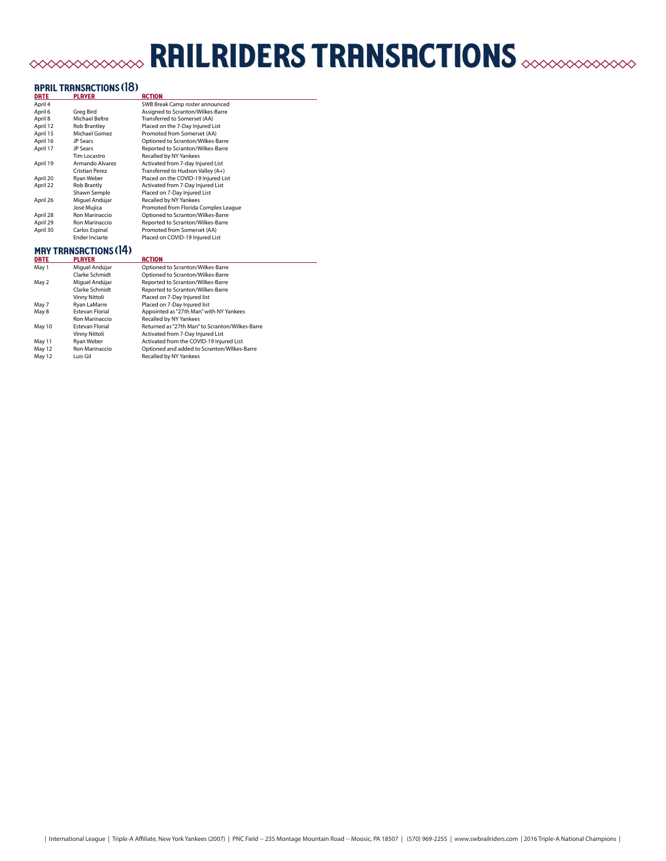## railriders transactions

## april transactions (18) date player action

| DRTE     | <b>PLAYER</b>         | RCTION                               |
|----------|-----------------------|--------------------------------------|
| April 4  |                       | SWB Break Camp roster announced      |
| April 6  | Greg Bird             | Assigned to Scranton/Wilkes-Barre    |
| April 8  | Michael Beltre        | Transferred to Somerset (AA)         |
| April 12 | <b>Rob Brantley</b>   | Placed on the 7-Day Injured List     |
| April 15 | <b>Michael Gomez</b>  | Promoted from Somerset (AA)          |
| April 16 | JP Sears              | Optioned to Scranton/Wilkes-Barre    |
| April 17 | <b>JP Sears</b>       | Reported to Scranton/Wilkes-Barre    |
|          | Tim Locastro          | Recalled by NY Yankees               |
| April 19 | Armando Alvarez       | Activated from 7-day Injured List    |
|          | Cristian Perez        | Transferred to Hudson Valley (A+)    |
| April 20 | Ryan Weber            | Placed on the COVID-19 Injured List  |
| April 22 | <b>Rob Brantly</b>    | Activated from 7-Day Injured List    |
|          | Shawn Semple          | Placed on 7-Day Injured List         |
| April 26 | Miguel Andújar        | Recalled by NY Yankees               |
|          | José Mujica           | Promoted from Florida Complex League |
| April 28 | Ron Marinaccio        | Optioned to Scranton/Wilkes-Barre    |
| April 29 | Ron Marinaccio        | Reported to Scranton/Wilkes-Barre    |
| April 30 | Carlos Espinal        | Promoted from Somerset (AA)          |
|          | <b>Ender Inciarte</b> | Placed on COVID-19 Injured List      |
|          |                       |                                      |

#### may transactions (14)

| <b>DRTE</b> | <b>PLAYER</b>          | <b>RCTION</b>                                   |
|-------------|------------------------|-------------------------------------------------|
| May 1       | Miguel Andújar         | Optioned to Scranton/Wilkes-Barre               |
|             | Clarke Schmidt         | Optioned to Scranton/Wilkes-Barre               |
| May 2       | Miquel Andújar         | Reported to Scranton/Wilkes-Barre               |
|             | Clarke Schmidt         | Reported to Scranton/Wilkes-Barre               |
|             | Vinny Nittoli          | Placed on 7-Day Injured list                    |
| May 7       | <b>Rvan LaMarre</b>    | Placed on 7-Day Injured list                    |
| May 8       | <b>Estevan Florial</b> | Appointed as "27th Man" with NY Yankees         |
|             | Ron Marinaccio         | Recalled by NY Yankees                          |
| May 10      | <b>Estevan Florial</b> | Returned as "27th Man" to Scranton/Wilkes-Barre |
|             | Vinny Nittoli          | Activated from 7-Day Injured List               |
| May 11      | Rvan Weber             | Activated from the COVID-19 Injured List        |
| May 12      | Ron Marinaccio         | Optioned and added to Scranton/Wilkes-Barre     |
| May 12      | Luis Gil               | Recalled by NY Yankees                          |

| International League | Triple-A Affiliate, New York Yankees (2007) | PNC Field -- 235 Montage Mountain Road -- Moosic, PA 18507 | (570) 969-2255 | www.swbrailriders.com | 2016 Triple-A National Champions |